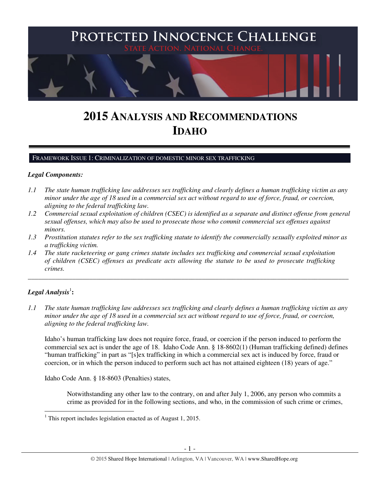

# **2015 ANALYSIS AND RECOMMENDATIONS IDAHO**

FRAMEWORK ISSUE 1: CRIMINALIZATION OF DOMESTIC MINOR SEX TRAFFICKING

### *Legal Components:*

- *1.1 The state human trafficking law addresses sex trafficking and clearly defines a human trafficking victim as any minor under the age of 18 used in a commercial sex act without regard to use of force, fraud, or coercion, aligning to the federal trafficking law.*
- *1.2 Commercial sexual exploitation of children (CSEC) is identified as a separate and distinct offense from general sexual offenses, which may also be used to prosecute those who commit commercial sex offenses against minors.*
- *1.3 Prostitution statutes refer to the sex trafficking statute to identify the commercially sexually exploited minor as a trafficking victim.*

\_\_\_\_\_\_\_\_\_\_\_\_\_\_\_\_\_\_\_\_\_\_\_\_\_\_\_\_\_\_\_\_\_\_\_\_\_\_\_\_\_\_\_\_\_\_\_\_\_\_\_\_\_\_\_\_\_\_\_\_\_\_\_\_\_\_\_\_\_\_\_\_\_\_\_\_\_\_\_\_\_\_\_\_\_\_\_\_\_\_\_\_\_\_

*1.4 The state racketeering or gang crimes statute includes sex trafficking and commercial sexual exploitation of children (CSEC) offenses as predicate acts allowing the statute to be used to prosecute trafficking crimes.* 

# $\boldsymbol{Legal}$  Analysis $^1$ :

l

*1.1 The state human trafficking law addresses sex trafficking and clearly defines a human trafficking victim as any minor under the age of 18 used in a commercial sex act without regard to use of force, fraud, or coercion, aligning to the federal trafficking law.*

Idaho's human trafficking law does not require force, fraud, or coercion if the person induced to perform the commercial sex act is under the age of 18. Idaho Code Ann. § 18-8602(1) (Human trafficking defined) defines "human trafficking" in part as "[s]ex trafficking in which a commercial sex act is induced by force, fraud or coercion, or in which the person induced to perform such act has not attained eighteen (18) years of age."

Idaho Code Ann. § 18-8603 (Penalties) states,

Notwithstanding any other law to the contrary, on and after July 1, 2006, any person who commits a crime as provided for in the following sections, and who, in the commission of such crime or crimes,

<sup>1</sup> This report includes legislation enacted as of August 1, 2015.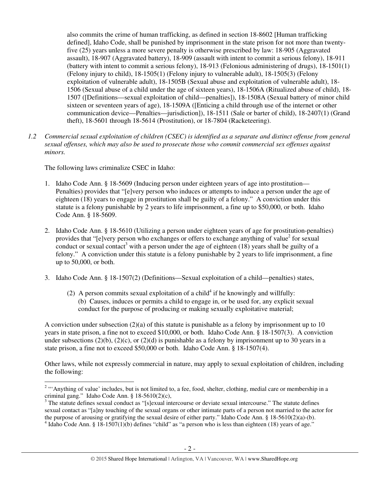also commits the crime of human trafficking, as defined in section 18-8602 [Human trafficking defined], Idaho Code, shall be punished by imprisonment in the state prison for not more than twentyfive (25) years unless a more severe penalty is otherwise prescribed by law: 18-905 (Aggravated assault), 18-907 (Aggravated battery), 18-909 (assault with intent to commit a serious felony), 18-911 (battery with intent to commit a serious felony), 18-913 (Felonious administering of drugs), 18-1501(1) (Felony injury to child), 18-1505(1) (Felony injury to vulnerable adult), 18-1505(3) (Felony exploitation of vulnerable adult), 18-1505B (Sexual abuse and exploitation of vulnerable adult), 18- 1506 (Sexual abuse of a child under the age of sixteen years), 18-1506A (Ritualized abuse of child), 18- 1507 ([Definitions—sexual exploitation of child—penalties]), 18-1508A (Sexual battery of minor child sixteen or seventeen years of age), 18-1509A ([Enticing a child through use of the internet or other communication device—Penalties—jurisdiction]), 18-1511 (Sale or barter of child), 18-2407(1) (Grand theft), 18-5601 through 18-5614 (Prostitution), or 18-7804 (Racketeering).

*1.2 Commercial sexual exploitation of children (CSEC) is identified as a separate and distinct offense from general sexual offenses, which may also be used to prosecute those who commit commercial sex offenses against minors.*

The following laws criminalize CSEC in Idaho:

 $\overline{a}$ 

- 1. Idaho Code Ann. § 18-5609 (Inducing person under eighteen years of age into prostitution— Penalties) provides that "[e]very person who induces or attempts to induce a person under the age of eighteen (18) years to engage in prostitution shall be guilty of a felony." A conviction under this statute is a felony punishable by 2 years to life imprisonment, a fine up to \$50,000, or both. Idaho Code Ann. § 18-5609.
- 2. Idaho Code Ann. § 18-5610 (Utilizing a person under eighteen years of age for prostitution-penalties) provides that "[e]very person who exchanges or offers to exchange anything of value<sup>2</sup> for sexual conduct or sexual contact<sup>3</sup> with a person under the age of eighteen  $(18)$  years shall be guilty of a felony." A conviction under this statute is a felony punishable by 2 years to life imprisonment, a fine up to 50,000, or both.
- 3. Idaho Code Ann. § 18-1507(2) (Definitions—Sexual exploitation of a child—penalties) states,
	- (2) A person commits sexual exploitation of a child<sup>4</sup> if he knowingly and willfully: (b) Causes, induces or permits a child to engage in, or be used for, any explicit sexual conduct for the purpose of producing or making sexually exploitative material;

A conviction under subsection  $(2)(a)$  of this statute is punishable as a felony by imprisonment up to 10 years in state prison, a fine not to exceed \$10,000, or both. Idaho Code Ann. § 18-1507(3). A conviction under subsections (2)(b), (2)(c), or (2)(d) is punishable as a felony by imprisonment up to 30 years in a state prison, a fine not to exceed \$50,000 or both. Idaho Code Ann. § 18-1507(4).

Other laws, while not expressly commercial in nature, may apply to sexual exploitation of children, including the following:

<sup>&</sup>lt;sup>2</sup> "'Anything of value' includes, but is not limited to, a fee, food, shelter, clothing, medial care or membership in a

criminal gang." Idaho Code Ann. § 18-5610(2)(c),<br><sup>3</sup> The statute defines sexual conduct as "[s]exual intercourse or deviate sexual intercourse." The statute defines sexual contact as "[a]ny touching of the sexual organs or other intimate parts of a person not married to the actor for the purpose of arousing or gratifying the sexual desire of either party." Idaho Code Ann. § 18-5610(2)(a)-(b).  $4$  Idaho Code Ann. § 18-1507(1)(b) defines "child" as "a person who is less than eighteen (18) years of age."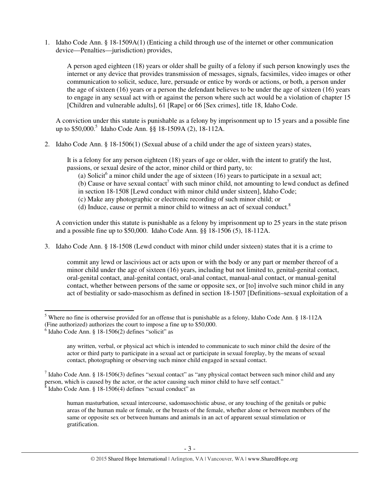1. Idaho Code Ann. § 18-1509A(1) (Enticing a child through use of the internet or other communication device—Penalties—jurisdiction) provides,

A person aged eighteen (18) years or older shall be guilty of a felony if such person knowingly uses the internet or any device that provides transmission of messages, signals, facsimiles, video images or other communication to solicit, seduce, lure, persuade or entice by words or actions, or both, a person under the age of sixteen (16) years or a person the defendant believes to be under the age of sixteen (16) years to engage in any sexual act with or against the person where such act would be a violation of chapter 15 [Children and vulnerable adults], 61 [Rape] or 66 [Sex crimes], title 18, Idaho Code.

A conviction under this statute is punishable as a felony by imprisonment up to 15 years and a possible fine up to \$50,000.<sup>5</sup> Idaho Code Ann. §§ 18-1509A (2), 18-112A.

2. Idaho Code Ann. § 18-1506(1) (Sexual abuse of a child under the age of sixteen years) states,

It is a felony for any person eighteen (18) years of age or older, with the intent to gratify the lust, passions, or sexual desire of the actor, minor child or third party, to:

(a) Solicit<sup>6</sup> a minor child under the age of sixteen (16) years to participate in a sexual act;

(b) Cause or have sexual contact<sup>7</sup> with such minor child, not amounting to lewd conduct as defined in section 18-1508 [Lewd conduct with minor child under sixteen], Idaho Code;

(c) Make any photographic or electronic recording of such minor child; or

(d) Induce, cause or permit a minor child to witness an act of sexual conduct.<sup>8</sup>

A conviction under this statute is punishable as a felony by imprisonment up to 25 years in the state prison and a possible fine up to \$50,000. Idaho Code Ann. §§ 18-1506 (5), 18-112A.

3. Idaho Code Ann. § 18-1508 (Lewd conduct with minor child under sixteen) states that it is a crime to

commit any lewd or lascivious act or acts upon or with the body or any part or member thereof of a minor child under the age of sixteen (16) years, including but not limited to, genital-genital contact, oral-genital contact, anal-genital contact, oral-anal contact, manual-anal contact, or manual-genital contact, whether between persons of the same or opposite sex, or [to] involve such minor child in any act of bestiality or sado-masochism as defined in section 18-1507 [Definitions–sexual exploitation of a

<sup>&</sup>lt;sup>5</sup> Where no fine is otherwise provided for an offense that is punishable as a felony, Idaho Code Ann. § 18-112A (Fine authorized) authorizes the court to impose a fine up to \$50,000.

<sup>6</sup> Idaho Code Ann. § 18-1506(2) defines "solicit" as

any written, verbal, or physical act which is intended to communicate to such minor child the desire of the actor or third party to participate in a sexual act or participate in sexual foreplay, by the means of sexual contact, photographing or observing such minor child engaged in sexual contact.

<sup>&</sup>lt;sup>7</sup> Idaho Code Ann. § 18-1506(3) defines "sexual contact" as "any physical contact between such minor child and any person, which is caused by the actor, or the actor causing such minor child to have self contact." 8 Idaho Code Ann. § 18-1506(4) defines "sexual conduct" as

human masturbation, sexual intercourse, sadomasochistic abuse, or any touching of the genitals or pubic areas of the human male or female, or the breasts of the female, whether alone or between members of the same or opposite sex or between humans and animals in an act of apparent sexual stimulation or gratification.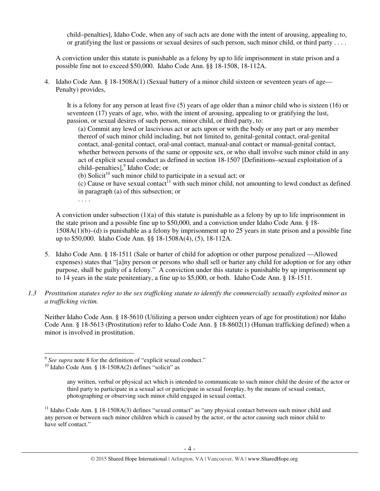child–penalties], Idaho Code, when any of such acts are done with the intent of arousing, appealing to, or gratifying the lust or passions or sexual desires of such person, such minor child, or third party . . . .

A conviction under this statute is punishable as a felony by up to life imprisonment in state prison and a possible fine not to exceed \$50,000. Idaho Code Ann. §§ 18-1508, 18-112A.

4. Idaho Code Ann. § 18-1508A(1) (Sexual battery of a minor child sixteen or seventeen years of age— Penalty) provides,

It is a felony for any person at least five (5) years of age older than a minor child who is sixteen (16) or seventeen (17) years of age, who, with the intent of arousing, appealing to or gratifying the lust, passion, or sexual desires of such person, minor child, or third party, to:

(a) Commit any lewd or lascivious act or acts upon or with the body or any part or any member thereof of such minor child including, but not limited to, genital-genital contact, oral-genital contact, anal-genital contact, oral-anal contact, manual-anal contact or manual-genital contact, whether between persons of the same or opposite sex, or who shall involve such minor child in any act of explicit sexual conduct as defined in section 18-1507 [Definitions–sexual exploitation of a child–penalties],<sup>9</sup> Idaho Code; or

(b) Solicit<sup>10</sup> such minor child to participate in a sexual act; or

 $(c)$  Cause or have sexual contact<sup>11</sup> with such minor child, not amounting to lewd conduct as defined in paragraph (a) of this subsection; or

. . . .

 $\overline{a}$ 

A conviction under subsection (1)(a) of this statute is punishable as a felony by up to life imprisonment in the state prison and a possible fine up to \$50,000, and a conviction under Idaho Code Ann. § 18- 1508A(1)(b)–(d) is punishable as a felony by imprisonment up to 25 years in state prison and a possible fine up to \$50,000. Idaho Code Ann. §§ 18-1508A(4), (5), 18-112A.

- 5. Idaho Code Ann. § 18-1511 (Sale or barter of child for adoption or other purpose penalized —Allowed expenses) states that "[a]ny person or persons who shall sell or barter any child for adoption or for any other purpose, shall be guilty of a felony." A conviction under this statute is punishable by up imprisonment up to 14 years in the state penitentiary, a fine up to \$5,000, or both. Idaho Code Ann. § 18-1511.
- *1.3 Prostitution statutes refer to the sex trafficking statute to identify the commercially sexually exploited minor as a trafficking victim.*

Neither Idaho Code Ann. § 18-5610 (Utilizing a person under eighteen years of age for prostitution) nor Idaho Code Ann. § 18-5613 (Prostitution) refer to Idaho Code Ann. § 18-8602(1) (Human trafficking defined) when a minor is involved in prostitution.

<sup>&</sup>lt;sup>9</sup> See supra note 8 for the definition of "explicit sexual conduct."

<sup>&</sup>lt;sup>10</sup> Idaho Code Ann. § 18-1508A(2) defines "solicit" as

any written, verbal or physical act which is intended to communicate to such minor child the desire of the actor or third party to participate in a sexual act or participate in sexual foreplay, by the means of sexual contact, photographing or observing such minor child engaged in sexual contact.

<sup>&</sup>lt;sup>11</sup> Idaho Code Ann. § 18-1508A(3) defines "sexual contact" as "any physical contact between such minor child and any person or between such minor children which is caused by the actor, or the actor causing such minor child to have self contact."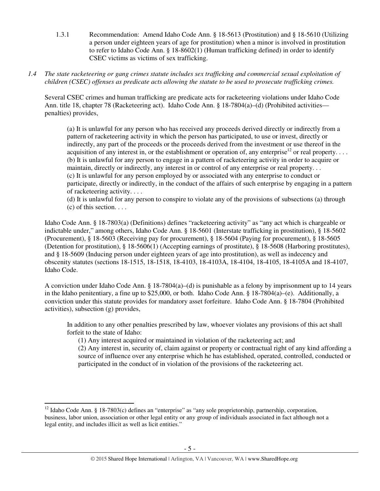- 1.3.1 Recommendation: Amend Idaho Code Ann. § 18-5613 (Prostitution) and § 18-5610 (Utilizing a person under eighteen years of age for prostitution) when a minor is involved in prostitution to refer to Idaho Code Ann. § 18-8602(1) (Human trafficking defined) in order to identify CSEC victims as victims of sex trafficking.
- *1.4 The state racketeering or gang crimes statute includes sex trafficking and commercial sexual exploitation of children (CSEC) offenses as predicate acts allowing the statute to be used to prosecute trafficking crimes.*

Several CSEC crimes and human trafficking are predicate acts for racketeering violations under Idaho Code Ann. title 18, chapter 78 (Racketeering act). Idaho Code Ann. § 18-7804(a)–(d) (Prohibited activities penalties) provides,

(a) It is unlawful for any person who has received any proceeds derived directly or indirectly from a pattern of racketeering activity in which the person has participated, to use or invest, directly or indirectly, any part of the proceeds or the proceeds derived from the investment or use thereof in the acquisition of any interest in, or the establishment or operation of, any enterprise<sup>12</sup> or real property.... (b) It is unlawful for any person to engage in a pattern of racketeering activity in order to acquire or maintain, directly or indirectly, any interest in or control of any enterprise or real property. . . (c) It is unlawful for any person employed by or associated with any enterprise to conduct or participate, directly or indirectly, in the conduct of the affairs of such enterprise by engaging in a pattern of racketeering activity. . . .

(d) It is unlawful for any person to conspire to violate any of the provisions of subsections (a) through  $(c)$  of this section.  $\ldots$ 

Idaho Code Ann. § 18-7803(a) (Definitions) defines "racketeering activity" as "any act which is chargeable or indictable under," among others, Idaho Code Ann. § 18-5601 (Interstate trafficking in prostitution), § 18-5602 (Procurement), § 18-5603 (Receiving pay for procurement), § 18-5604 (Paying for procurement), § 18-5605 (Detention for prostitution), § 18-5606(1) (Accepting earnings of prostitute), § 18-5608 (Harboring prostitutes), and § 18-5609 (Inducing person under eighteen years of age into prostitution), as well as indecency and obscenity statutes (sections 18-1515, 18-1518, 18-4103, 18-4103A, 18-4104, 18-4105, 18-4105A and 18-4107, Idaho Code.

A conviction under Idaho Code Ann. § 18-7804(a)–(d) is punishable as a felony by imprisonment up to 14 years in the Idaho penitentiary, a fine up to \$25,000, or both. Idaho Code Ann. § 18-7804(a)–(e). Additionally, a conviction under this statute provides for mandatory asset forfeiture. Idaho Code Ann. § 18-7804 (Prohibited activities), subsection (g) provides,

In addition to any other penalties prescribed by law, whoever violates any provisions of this act shall forfeit to the state of Idaho:

(1) Any interest acquired or maintained in violation of the racketeering act; and

(2) Any interest in, security of, claim against or property or contractual right of any kind affording a source of influence over any enterprise which he has established, operated, controlled, conducted or participated in the conduct of in violation of the provisions of the racketeering act.

<sup>&</sup>lt;sup>12</sup> Idaho Code Ann. § 18-7803(c) defines an "enterprise" as "any sole proprietorship, partnership, corporation, business, labor union, association or other legal entity or any group of individuals associated in fact although not a legal entity, and includes illicit as well as licit entities."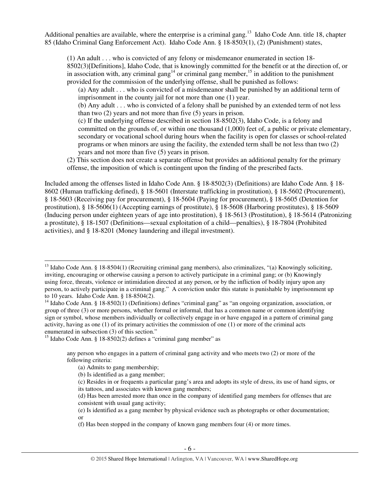Additional penalties are available, where the enterprise is a criminal gang.<sup>13</sup> Idaho Code Ann. title 18, chapter 85 (Idaho Criminal Gang Enforcement Act). Idaho Code Ann. § 18-8503(1), (2) (Punishment) states,

(1) An adult . . . who is convicted of any felony or misdemeanor enumerated in section 18- 8502(3)[Definitions], Idaho Code, that is knowingly committed for the benefit or at the direction of, or in association with, any criminal gang<sup>14</sup> or criminal gang member,<sup>15</sup> in addition to the punishment provided for the commission of the underlying offense, shall be punished as follows:

(a) Any adult . . . who is convicted of a misdemeanor shall be punished by an additional term of imprisonment in the county jail for not more than one (1) year.

(b) Any adult . . . who is convicted of a felony shall be punished by an extended term of not less than two (2) years and not more than five (5) years in prison.

(c) If the underlying offense described in section 18-8502(3), Idaho Code, is a felony and committed on the grounds of, or within one thousand (1,000) feet of, a public or private elementary, secondary or vocational school during hours when the facility is open for classes or school-related programs or when minors are using the facility, the extended term shall be not less than two (2) years and not more than five (5) years in prison.

(2) This section does not create a separate offense but provides an additional penalty for the primary offense, the imposition of which is contingent upon the finding of the prescribed facts.

Included among the offenses listed in Idaho Code Ann. § 18-8502(3) (Definitions) are Idaho Code Ann. § 18- 8602 (Human trafficking defined), § 18-5601 (Interstate trafficking in prostitution), § 18-5602 (Procurement), § 18-5603 (Receiving pay for procurement), § 18-5604 (Paying for procurement), § 18-5605 (Detention for prostitution), § 18-5606(1) (Accepting earnings of prostitute), § 18-5608 (Harboring prostitutes), § 18-5609 (Inducing person under eighteen years of age into prostitution), § 18-5613 (Prostitution), § 18-5614 (Patronizing a prostitute), § 18-1507 (Definitions—sexual exploitation of a child—penalties), § 18-7804 (Prohibited activities), and § 18-8201 (Money laundering and illegal investment).

(a) Admits to gang membership;

- (b) Is identified as a gang member;
- (c) Resides in or frequents a particular gang's area and adopts its style of dress, its use of hand signs, or its tattoos, and associates with known gang members;

<sup>&</sup>lt;sup>13</sup> Idaho Code Ann. § 18-8504(1) (Recruiting criminal gang members), also criminalizes, "(a) Knowingly soliciting, inviting, encouraging or otherwise causing a person to actively participate in a criminal gang; or (b) Knowingly using force, threats, violence or intimidation directed at any person, or by the infliction of bodily injury upon any person, to actively participate in a criminal gang." A conviction under this statute is punishable by imprisonment up to 10 years. Idaho Code Ann. § 18-8504(2).

<sup>&</sup>lt;sup>14</sup> Idaho Code Ann. § 18-8502(1) (Definitions) defines "criminal gang" as "an ongoing organization, association, or group of three (3) or more persons, whether formal or informal, that has a common name or common identifying sign or symbol, whose members individually or collectively engage in or have engaged in a pattern of criminal gang activity, having as one (1) of its primary activities the commission of one (1) or more of the criminal acts enumerated in subsection (3) of this section."

 $15$  Idaho Code Ann. § 18-8502(2) defines a "criminal gang member" as

any person who engages in a pattern of criminal gang activity and who meets two (2) or more of the following criteria:

<sup>(</sup>d) Has been arrested more than once in the company of identified gang members for offenses that are consistent with usual gang activity;

<sup>(</sup>e) Is identified as a gang member by physical evidence such as photographs or other documentation; or

<sup>(</sup>f) Has been stopped in the company of known gang members four (4) or more times.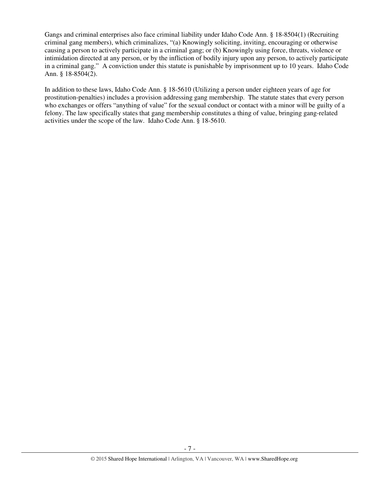Gangs and criminal enterprises also face criminal liability under Idaho Code Ann. § 18-8504(1) (Recruiting criminal gang members), which criminalizes, "(a) Knowingly soliciting, inviting, encouraging or otherwise causing a person to actively participate in a criminal gang; or (b) Knowingly using force, threats, violence or intimidation directed at any person, or by the infliction of bodily injury upon any person, to actively participate in a criminal gang." A conviction under this statute is punishable by imprisonment up to 10 years. Idaho Code Ann. § 18-8504(2).

In addition to these laws, Idaho Code Ann. § 18-5610 (Utilizing a person under eighteen years of age for prostitution-penalties) includes a provision addressing gang membership. The statute states that every person who exchanges or offers "anything of value" for the sexual conduct or contact with a minor will be guilty of a felony. The law specifically states that gang membership constitutes a thing of value, bringing gang-related activities under the scope of the law. Idaho Code Ann. § 18-5610.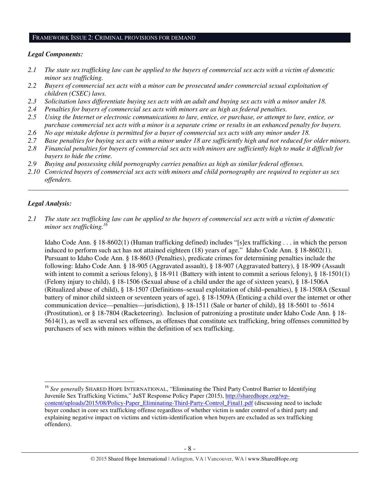#### FRAMEWORK ISSUE 2: CRIMINAL PROVISIONS FOR DEMAND

### *Legal Components:*

- *2.1 The state sex trafficking law can be applied to the buyers of commercial sex acts with a victim of domestic minor sex trafficking.*
- *2.2 Buyers of commercial sex acts with a minor can be prosecuted under commercial sexual exploitation of children (CSEC) laws.*
- *2.3 Solicitation laws differentiate buying sex acts with an adult and buying sex acts with a minor under 18.*
- *2.4 Penalties for buyers of commercial sex acts with minors are as high as federal penalties.*
- *2.5 Using the Internet or electronic communications to lure, entice, or purchase, or attempt to lure, entice, or purchase commercial sex acts with a minor is a separate crime or results in an enhanced penalty for buyers.*
- *2.6 No age mistake defense is permitted for a buyer of commercial sex acts with any minor under 18.*
- *2.7 Base penalties for buying sex acts with a minor under 18 are sufficiently high and not reduced for older minors.*
- *2.8 Financial penalties for buyers of commercial sex acts with minors are sufficiently high to make it difficult for buyers to hide the crime.*
- *2.9 Buying and possessing child pornography carries penalties as high as similar federal offenses.*
- *2.10 Convicted buyers of commercial sex acts with minors and child pornography are required to register as sex offenders.*

\_\_\_\_\_\_\_\_\_\_\_\_\_\_\_\_\_\_\_\_\_\_\_\_\_\_\_\_\_\_\_\_\_\_\_\_\_\_\_\_\_\_\_\_\_\_\_\_\_\_\_\_\_\_\_\_\_\_\_\_\_\_\_\_\_\_\_\_\_\_\_\_\_\_\_\_\_\_\_\_\_\_\_\_\_\_\_\_\_\_\_\_\_\_

### *Legal Analysis:*

 $\overline{a}$ 

*2.1 The state sex trafficking law can be applied to the buyers of commercial sex acts with a victim of domestic minor sex trafficking.<sup>16</sup>*

Idaho Code Ann. § 18-8602(1) (Human trafficking defined) includes "[s]ex trafficking . . . in which the person induced to perform such act has not attained eighteen (18) years of age." Idaho Code Ann. § 18-8602(1). Pursuant to Idaho Code Ann. § 18-8603 (Penalties), predicate crimes for determining penalties include the following: Idaho Code Ann. § 18-905 (Aggravated assault), § 18-907 (Aggravated battery), § 18-909 (Assault with intent to commit a serious felony), § 18-911 (Battery with intent to commit a serious felony), § 18-1501(1) (Felony injury to child), § 18-1506 (Sexual abuse of a child under the age of sixteen years), § 18-1506A (Ritualized abuse of child), § 18-1507 (Definitions–sexual exploitation of child–penalties), § 18-1508A (Sexual battery of minor child sixteen or seventeen years of age), § 18-1509A (Enticing a child over the internet or other communication device—penalties—jurisdiction), § 18-1511 (Sale or barter of child), §§ 18-5601 to -5614 (Prostitution), or § 18-7804 (Racketeering). Inclusion of patronizing a prostitute under Idaho Code Ann. § 18- 5614(1), as well as several sex offenses, as offenses that constitute sex trafficking, bring offenses committed by purchasers of sex with minors within the definition of sex trafficking.

<sup>&</sup>lt;sup>16</sup> See generally SHARED HOPE INTERNATIONAL, "Eliminating the Third Party Control Barrier to Identifying Juvenile Sex Trafficking Victims," JuST Response Policy Paper (2015), http://sharedhope.org/wpcontent/uploads/2015/08/Policy-Paper\_Eliminating-Third-Party-Control\_Final1.pdf (discussing need to include buyer conduct in core sex trafficking offense regardless of whether victim is under control of a third party and explaining negative impact on victims and victim-identification when buyers are excluded as sex trafficking offenders).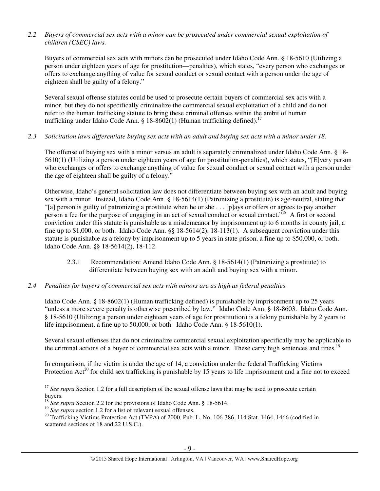# *2.2 Buyers of commercial sex acts with a minor can be prosecuted under commercial sexual exploitation of children (CSEC) laws.*

Buyers of commercial sex acts with minors can be prosecuted under Idaho Code Ann. § 18-5610 (Utilizing a person under eighteen years of age for prostitution—penalties), which states, "every person who exchanges or offers to exchange anything of value for sexual conduct or sexual contact with a person under the age of eighteen shall be guilty of a felony."

Several sexual offense statutes could be used to prosecute certain buyers of commercial sex acts with a minor, but they do not specifically criminalize the commercial sexual exploitation of a child and do not refer to the human trafficking statute to bring these criminal offenses within the ambit of human trafficking under Idaho Code Ann. § 18-8602(1) (Human trafficking defined).<sup>17</sup>

### *2.3 Solicitation laws differentiate buying sex acts with an adult and buying sex acts with a minor under 18.*

The offense of buying sex with a minor versus an adult is separately criminalized under Idaho Code Ann. § 18- 5610(1) (Utilizing a person under eighteen years of age for prostitution-penalties), which states, "[E]very person who exchanges or offers to exchange anything of value for sexual conduct or sexual contact with a person under the age of eighteen shall be guilty of a felony."

Otherwise, Idaho's general solicitation law does not differentiate between buying sex with an adult and buying sex with a minor. Instead, Idaho Code Ann. § 18-5614(1) (Patronizing a prostitute) is age-neutral, stating that "[a] person is guilty of patronizing a prostitute when he or she . . . [p]ays or offers or agrees to pay another person a fee for the purpose of engaging in an act of sexual conduct or sexual contact."<sup>18</sup> A first or second conviction under this statute is punishable as a misdemeanor by imprisonment up to 6 months in county jail, a fine up to \$1,000, or both. Idaho Code Ann. §§ 18-5614(2), 18-113(1). A subsequent conviction under this statute is punishable as a felony by imprisonment up to 5 years in state prison, a fine up to \$50,000, or both. Idaho Code Ann. §§ 18-5614(2), 18-112.

- 2.3.1 Recommendation: Amend Idaho Code Ann. § 18-5614(1) (Patronizing a prostitute) to differentiate between buying sex with an adult and buying sex with a minor.
- *2.4 Penalties for buyers of commercial sex acts with minors are as high as federal penalties.*

Idaho Code Ann. § 18-8602(1) (Human trafficking defined) is punishable by imprisonment up to 25 years "unless a more severe penalty is otherwise prescribed by law." Idaho Code Ann. § 18-8603. Idaho Code Ann. § 18-5610 (Utilizing a person under eighteen years of age for prostitution) is a felony punishable by 2 years to life imprisonment, a fine up to 50,000, or both. Idaho Code Ann. § 18-5610(1).

Several sexual offenses that do not criminalize commercial sexual exploitation specifically may be applicable to the criminal actions of a buyer of commercial sex acts with a minor. These carry high sentences and fines.<sup>19</sup>

In comparison, if the victim is under the age of 14, a conviction under the federal Trafficking Victims Protection  $Act^{20}$  for child sex trafficking is punishable by 15 years to life imprisonment and a fine not to exceed

<sup>&</sup>lt;sup>17</sup> See supra Section 1.2 for a full description of the sexual offense laws that may be used to prosecute certain buyers.

<sup>&</sup>lt;sup>18</sup> *See supra* Section 2.2 for the provisions of Idaho Code Ann. § 18-5614.

<sup>&</sup>lt;sup>19</sup> See supra section 1.2 for a list of relevant sexual offenses.

<sup>&</sup>lt;sup>20</sup> Trafficking Victims Protection Act (TVPA) of 2000, Pub. L. No. 106-386, 114 Stat. 1464, 1466 (codified in scattered sections of 18 and 22 U.S.C.).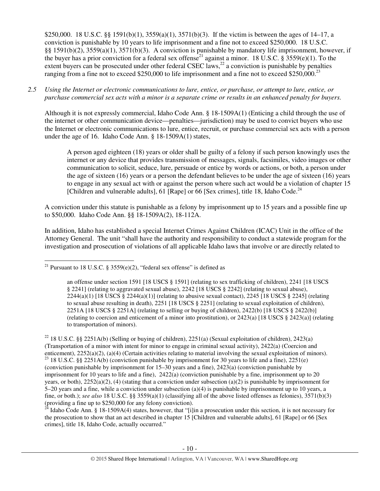\$250,000. 18 U.S.C. §§ 1591(b)(1), 3559(a)(1), 3571(b)(3). If the victim is between the ages of 14–17, a conviction is punishable by 10 years to life imprisonment and a fine not to exceed \$250,000. 18 U.S.C. §§ 1591(b)(2), 3559(a)(1), 3571(b)(3). A conviction is punishable by mandatory life imprisonment, however, if the buyer has a prior conviction for a federal sex offense<sup>21</sup> against a minor. 18 U.S.C. § 3559(e)(1). To the extent buyers can be prosecuted under other federal CSEC laws,<sup>22</sup> a conviction is punishable by penalties ranging from a fine not to exceed \$250,000 to life imprisonment and a fine not to exceed \$250,000.<sup>23</sup>

### *2.5 Using the Internet or electronic communications to lure, entice, or purchase, or attempt to lure, entice, or purchase commercial sex acts with a minor is a separate crime or results in an enhanced penalty for buyers.*

Although it is not expressly commercial, Idaho Code Ann. § 18-1509A(1) (Enticing a child through the use of the internet or other communication device—penalties—jurisdiction) may be used to convict buyers who use the Internet or electronic communications to lure, entice, recruit, or purchase commercial sex acts with a person under the age of 16. Idaho Code Ann. § 18-1509A(1) states,

A person aged eighteen (18) years or older shall be guilty of a felony if such person knowingly uses the internet or any device that provides transmission of messages, signals, facsimiles, video images or other communication to solicit, seduce, lure, persuade or entice by words or actions, or both, a person under the age of sixteen (16) years or a person the defendant believes to be under the age of sixteen (16) years to engage in any sexual act with or against the person where such act would be a violation of chapter 15 [Children and vulnerable adults], 61 [Rape] or 66 [Sex crimes], title 18, Idaho Code.<sup>24</sup>

A conviction under this statute is punishable as a felony by imprisonment up to 15 years and a possible fine up to \$50,000. Idaho Code Ann. §§ 18-1509A(2), 18-112A.

In addition, Idaho has established a special Internet Crimes Against Children (ICAC) Unit in the office of the Attorney General. The unit "shall have the authority and responsibility to conduct a statewide program for the investigation and prosecution of violations of all applicable Idaho laws that involve or are directly related to

 $\overline{a}$ 

Idaho Code Ann. § 18-1509A(4) states, however, that "[i]in a prosecution under this section, it is not necessary for the prosecution to show that an act described in chapter 15 [Children and vulnerable adults], 61 [Rape] or 66 [Sex crimes], title 18, Idaho Code, actually occurred."

<sup>&</sup>lt;sup>21</sup> Pursuant to 18 U.S.C. § 3559(e)(2), "federal sex offense" is defined as

an offense under section 1591 [18 USCS § 1591] (relating to sex trafficking of children), 2241 [18 USCS § 2241] (relating to aggravated sexual abuse), 2242 [18 USCS § 2242] (relating to sexual abuse),  $2244(a)(1)$  [18 USCS § 2244(a)(1)] (relating to abusive sexual contact), 2245 [18 USCS § 2245] (relating to sexual abuse resulting in death), 2251 [18 USCS § 2251] (relating to sexual exploitation of children), 2251A [18 USCS § 2251A] (relating to selling or buying of children), 2422(b) [18 USCS § 2422(b)] (relating to coercion and enticement of a minor into prostitution), or 2423(a) [18 USCS § 2423(a)] (relating to transportation of minors).

<sup>&</sup>lt;sup>22</sup> 18 U.S.C. §§ 2251A(b) (Selling or buying of children), 2251(a) (Sexual exploitation of children), 2423(a) (Transportation of a minor with intent for minor to engage in criminal sexual activity), 2422(a) (Coercion and enticement), 2252(a)(2), (a)(4) (Certain activities relating to material involving the sexual exploitation of minors). <sup>23</sup> 18 U.S.C. §§ 2251A(b) (conviction punishable by imprisonment for 30 years to life and a fine), 2251(e) (conviction punishable by imprisonment for 15–30 years and a fine), 2423(a) (conviction punishable by imprisonment for 10 years to life and a fine),  $2422(a)$  (conviction punishable by a fine, imprisonment up to 20 years, or both),  $2252(a)(2)$ , (4) (stating that a conviction under subsection (a)(2) is punishable by imprisonment for 5–20 years and a fine, while a conviction under subsection (a)(4) is punishable by imprisonment up to 10 years, a fine, or both.); *see also* 18 U.S.C. §§ 3559(a)(1) (classifying all of the above listed offenses as felonies), 3571(b)(3) (providing a fine up to \$250,000 for any felony conviction).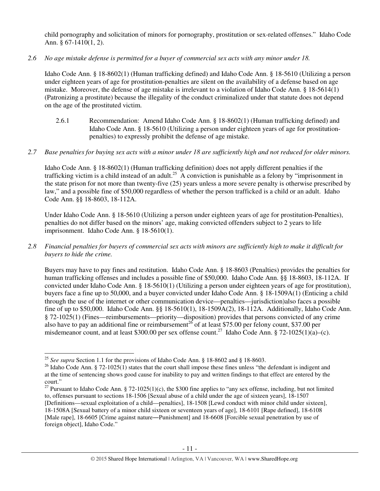child pornography and solicitation of minors for pornography, prostitution or sex-related offenses." Idaho Code Ann. § 67-1410(1, 2).

*2.6 No age mistake defense is permitted for a buyer of commercial sex acts with any minor under 18.* 

Idaho Code Ann. § 18-8602(1) (Human trafficking defined) and Idaho Code Ann. § 18-5610 (Utilizing a person under eighteen years of age for prostitution-penalties are silent on the availability of a defense based on age mistake. Moreover, the defense of age mistake is irrelevant to a violation of Idaho Code Ann. § 18-5614(1) (Patronizing a prostitute) because the illegality of the conduct criminalized under that statute does not depend on the age of the prostituted victim.

- 2.6.1 Recommendation: Amend Idaho Code Ann. § 18-8602(1) (Human trafficking defined) and Idaho Code Ann. § 18-5610 (Utilizing a person under eighteen years of age for prostitutionpenalties) to expressly prohibit the defense of age mistake.
- *2.7 Base penalties for buying sex acts with a minor under 18 are sufficiently high and not reduced for older minors.*

Idaho Code Ann. § 18-8602(1) (Human trafficking definition) does not apply different penalties if the trafficking victim is a child instead of an adult.<sup>25</sup> A conviction is punishable as a felony by "imprisonment in the state prison for not more than twenty-five (25) years unless a more severe penalty is otherwise prescribed by law," and a possible fine of \$50,000 regardless of whether the person trafficked is a child or an adult. Idaho Code Ann. §§ 18-8603, 18-112A.

Under Idaho Code Ann. § 18-5610 (Utilizing a person under eighteen years of age for prostitution-Penalties), penalties do not differ based on the minors' age, making convicted offenders subject to 2 years to life imprisonment. Idaho Code Ann. § 18-5610(1).

*2.8 Financial penalties for buyers of commercial sex acts with minors are sufficiently high to make it difficult for buyers to hide the crime.* 

Buyers may have to pay fines and restitution. Idaho Code Ann. § 18-8603 (Penalties) provides the penalties for human trafficking offenses and includes a possible fine of \$50,000. Idaho Code Ann. §§ 18-8603, 18-112A. If convicted under Idaho Code Ann. § 18-5610(1) (Utilizing a person under eighteen years of age for prostitution), buyers face a fine up to 50,000, and a buyer convicted under Idaho Code Ann. § 18-1509A(1) (Enticing a child through the use of the internet or other communication device—penalties—jurisdiction)also faces a possible fine of up to \$50,000. Idaho Code Ann. §§ 18-5610(1), 18-1509A(2), 18-112A. Additionally, Idaho Code Ann. § 72-1025(1) (Fines—reimbursements—priority—disposition) provides that persons convicted of any crime also have to pay an additional fine or reimbursement<sup>26</sup> of at least \$75.00 per felony count, \$37.00 per misdemeanor count, and at least \$300.00 per sex offense count.<sup>27</sup> Idaho Code Ann. § 72-1025(1)(a)–(c).

<sup>25</sup> *See supra* Section 1.1 for the provisions of Idaho Code Ann. § 18-8602 and § 18-8603.

<sup>&</sup>lt;sup>26</sup> Idaho Code Ann. § 72-1025(1) states that the court shall impose these fines unless "the defendant is indigent and at the time of sentencing shows good cause for inability to pay and written findings to that effect are entered by the court."

<sup>&</sup>lt;sup>27</sup> Pursuant to Idaho Code Ann. § 72-1025(1)(c), the \$300 fine applies to "any sex offense, including, but not limited to, offenses pursuant to sections 18-1506 [Sexual abuse of a child under the age of sixteen years], 18-1507 [Definitions—sexual exploitation of a child—penalties], 18-1508 [Lewd conduct with minor child under sixteen], 18-1508A [Sexual battery of a minor child sixteen or seventeen years of age], 18-6101 [Rape defined], 18-6108 [Male rape], 18-6605 [Crime against nature—Punishment] and 18-6608 [Forcible sexual penetration by use of foreign object], Idaho Code."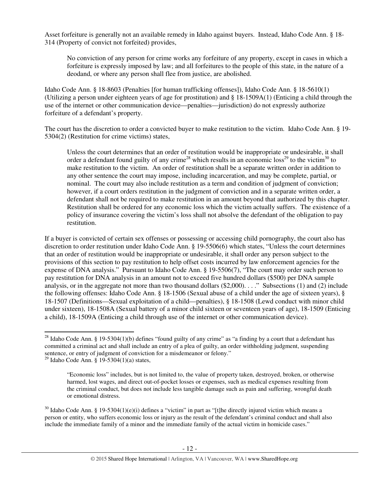Asset forfeiture is generally not an available remedy in Idaho against buyers. Instead, Idaho Code Ann. § 18- 314 (Property of convict not forfeited) provides,

No conviction of any person for crime works any forfeiture of any property, except in cases in which a forfeiture is expressly imposed by law; and all forfeitures to the people of this state, in the nature of a deodand, or where any person shall flee from justice, are abolished.

Idaho Code Ann. § 18-8603 (Penalties [for human trafficking offenses]), Idaho Code Ann. § 18-5610(1) (Utilizing a person under eighteen years of age for prostitution) and § 18-1509A(1) (Enticing a child through the use of the internet or other communication device—penalties—jurisdiction) do not expressly authorize forfeiture of a defendant's property.

The court has the discretion to order a convicted buyer to make restitution to the victim. Idaho Code Ann. § 19- 5304(2) (Restitution for crime victims) states,

Unless the court determines that an order of restitution would be inappropriate or undesirable, it shall order a defendant found guilty of any crime<sup>28</sup> which results in an economic loss<sup>29</sup> to the victim<sup>30</sup> to make restitution to the victim. An order of restitution shall be a separate written order in addition to any other sentence the court may impose, including incarceration, and may be complete, partial, or nominal. The court may also include restitution as a term and condition of judgment of conviction; however, if a court orders restitution in the judgment of conviction and in a separate written order, a defendant shall not be required to make restitution in an amount beyond that authorized by this chapter. Restitution shall be ordered for any economic loss which the victim actually suffers. The existence of a policy of insurance covering the victim's loss shall not absolve the defendant of the obligation to pay restitution.

If a buyer is convicted of certain sex offenses or possessing or accessing child pornography, the court also has discretion to order restitution under Idaho Code Ann. § 19-5506(6) which states, "Unless the court determines that an order of restitution would be inappropriate or undesirable, it shall order any person subject to the provisions of this section to pay restitution to help offset costs incurred by law enforcement agencies for the expense of DNA analysis." Pursuant to Idaho Code Ann. § 19-5506(7), "The court may order such person to pay restitution for DNA analysis in an amount not to exceed five hundred dollars (\$500) per DNA sample analysis, or in the aggregate not more than two thousand dollars  $(\text{\$2,000})$ . . . ." Subsections (1) and (2) include the following offenses: Idaho Code Ann. § 18-1506 (Sexual abuse of a child under the age of sixteen years), § 18-1507 (Definitions—Sexual exploitation of a child—penalties), § 18-1508 (Lewd conduct with minor child under sixteen), 18-1508A (Sexual battery of a minor child sixteen or seventeen years of age), 18-1509 (Enticing a child), 18-1509A (Enticing a child through use of the internet or other communication device).

<sup>&</sup>lt;sup>28</sup> Idaho Code Ann. § 19-5304(1)(b) defines "found guilty of any crime" as "a finding by a court that a defendant has committed a criminal act and shall include an entry of a plea of guilty, an order withholding judgment, suspending sentence, or entry of judgment of conviction for a misdemeanor or felony."

<sup>&</sup>lt;sup>29</sup> Idaho Code Ann. § 19-5304(1)(a) states,

<sup>&</sup>quot;Economic loss" includes, but is not limited to, the value of property taken, destroyed, broken, or otherwise harmed, lost wages, and direct out-of-pocket losses or expenses, such as medical expenses resulting from the criminal conduct, but does not include less tangible damage such as pain and suffering, wrongful death or emotional distress.

 $30$  Idaho Code Ann. § 19-5304(1)(e)(i) defines a "victim" in part as "[t]he directly injured victim which means a person or entity, who suffers economic loss or injury as the result of the defendant's criminal conduct and shall also include the immediate family of a minor and the immediate family of the actual victim in homicide cases."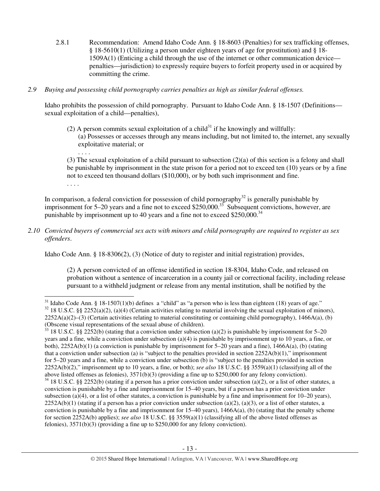2.8.1 Recommendation: Amend Idaho Code Ann. § 18-8603 (Penalties) for sex trafficking offenses, § 18-5610(1) (Utilizing a person under eighteen years of age for prostitution) and § 18- 1509A(1) (Enticing a child through the use of the internet or other communication device penalties—jurisdiction) to expressly require buyers to forfeit property used in or acquired by committing the crime.

### *2.9 Buying and possessing child pornography carries penalties as high as similar federal offenses.*

. . . .

l

Idaho prohibits the possession of child pornography. Pursuant to Idaho Code Ann. § 18-1507 (Definitions sexual exploitation of a child—penalties),

(2) A person commits sexual exploitation of a child<sup>31</sup> if he knowingly and willfully: (a) Possesses or accesses through any means including, but not limited to, the internet, any sexually exploitative material; or

(3) The sexual exploitation of a child pursuant to subsection (2)(a) of this section is a felony and shall be punishable by imprisonment in the state prison for a period not to exceed ten (10) years or by a fine not to exceed ten thousand dollars (\$10,000), or by both such imprisonment and fine. . . . .

In comparison, a federal conviction for possession of child pornography<sup>32</sup> is generally punishable by imprisonment for 5–20 years and a fine not to exceed \$250,000.<sup>33</sup> Subsequent convictions, however, are punishable by imprisonment up to 40 years and a fine not to exceed \$250,000.<sup>34</sup>

*2.10 Convicted buyers of commercial sex acts with minors and child pornography are required to register as sex offenders*.

Idaho Code Ann. § 18-8306(2), (3) (Notice of duty to register and initial registration) provides,

(2) A person convicted of an offense identified in section 18-8304, Idaho Code, and released on probation without a sentence of incarceration in a county jail or correctional facility, including release pursuant to a withheld judgment or release from any mental institution, shall be notified by the

 $31$  Idaho Code Ann. § 18-1507(1)(b) defines a "child" as "a person who is less than eighteen (18) years of age."  $32$  18 U.S.C. §§ 2252(a)(2), (a)(4) (Certain activities relating to material involving the sexual exploitation of minors),  $2252A(a)(2)$ –(3) (Certain activities relating to material constituting or containing child pornography), 1466A(a), (b) (Obscene visual representations of the sexual abuse of children).

 $33$  18 U.S.C. §§ 2252(b) (stating that a conviction under subsection (a)(2) is punishable by imprisonment for 5–20 years and a fine, while a conviction under subsection (a)(4) is punishable by imprisonment up to 10 years, a fine, or both), 2252A(b)(1) (a conviction is punishable by imprisonment for 5–20 years and a fine), 1466A(a), (b) (stating that a conviction under subsection (a) is "subject to the penalties provided in section  $2252A(b)(1)$ ," imprisonment for 5–20 years and a fine, while a conviction under subsection (b) is "subject to the penalties provided in section 2252A(b)(2)," imprisonment up to 10 years, a fine, or both); *see also* 18 U.S.C. §§ 3559(a)(1) (classifying all of the above listed offenses as felonies), 3571(b)(3) (providing a fine up to \$250,000 for any felony conviction).

 $34$  18 U.S.C. §§ 2252(b) (stating if a person has a prior conviction under subsection (a)(2), or a list of other statutes, a conviction is punishable by a fine and imprisonment for 15–40 years, but if a person has a prior conviction under subsection (a)(4), or a list of other statutes, a conviction is punishable by a fine and imprisonment for  $10-20$  years),  $2252A(b)(1)$  (stating if a person has a prior conviction under subsection (a)(2), (a)(3), or a list of other statutes, a conviction is punishable by a fine and imprisonment for  $15-40$  years),  $1466A(a)$ , (b) (stating that the penalty scheme for section 2252A(b) applies); *see also* 18 U.S.C. §§ 3559(a)(1) (classifying all of the above listed offenses as felonies), 3571(b)(3) (providing a fine up to \$250,000 for any felony conviction).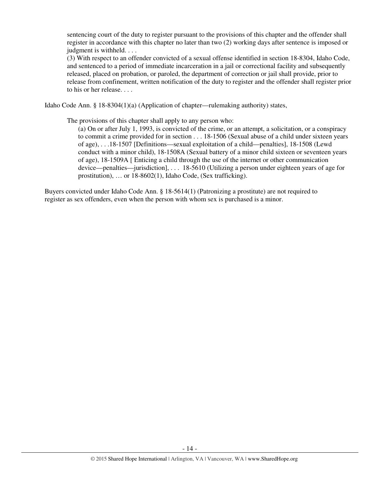sentencing court of the duty to register pursuant to the provisions of this chapter and the offender shall register in accordance with this chapter no later than two (2) working days after sentence is imposed or judgment is withheld. . . .

(3) With respect to an offender convicted of a sexual offense identified in section 18-8304, Idaho Code, and sentenced to a period of immediate incarceration in a jail or correctional facility and subsequently released, placed on probation, or paroled, the department of correction or jail shall provide, prior to release from confinement, written notification of the duty to register and the offender shall register prior to his or her release. . . .

Idaho Code Ann. § 18-8304(1)(a) (Application of chapter—rulemaking authority) states,

The provisions of this chapter shall apply to any person who:

(a) On or after July 1, 1993, is convicted of the crime, or an attempt, a solicitation, or a conspiracy to commit a crime provided for in section . . . 18-1506 (Sexual abuse of a child under sixteen years of age), . . .18-1507 [Definitions—sexual exploitation of a child—penalties], 18-1508 (Lewd conduct with a minor child), 18-1508A (Sexual battery of a minor child sixteen or seventeen years of age), 18-1509A [ Enticing a child through the use of the internet or other communication device—penalties—jurisdiction], . . . 18-5610 (Utilizing a person under eighteen years of age for prostitution), … or 18-8602(1), Idaho Code, (Sex trafficking).

Buyers convicted under Idaho Code Ann. § 18-5614(1) (Patronizing a prostitute) are not required to register as sex offenders, even when the person with whom sex is purchased is a minor.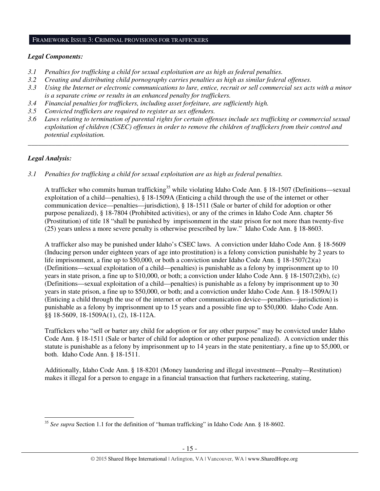#### FRAMEWORK ISSUE 3: CRIMINAL PROVISIONS FOR TRAFFICKERS

### *Legal Components:*

- *3.1 Penalties for trafficking a child for sexual exploitation are as high as federal penalties.*
- *3.2 Creating and distributing child pornography carries penalties as high as similar federal offenses.*
- *3.3 Using the Internet or electronic communications to lure, entice, recruit or sell commercial sex acts with a minor is a separate crime or results in an enhanced penalty for traffickers.*
- *3.4 Financial penalties for traffickers, including asset forfeiture, are sufficiently high.*
- *3.5 Convicted traffickers are required to register as sex offenders.*
- *3.6 Laws relating to termination of parental rights for certain offenses include sex trafficking or commercial sexual exploitation of children (CSEC) offenses in order to remove the children of traffickers from their control and potential exploitation.*

*\_\_\_\_\_\_\_\_\_\_\_\_\_\_\_\_\_\_\_\_\_\_\_\_\_\_\_\_\_\_\_\_\_\_\_\_\_\_\_\_\_\_\_\_\_\_\_\_\_\_\_\_\_\_\_\_\_\_\_\_\_\_\_\_\_\_\_\_\_\_\_\_\_\_\_\_\_\_\_\_\_\_\_\_\_\_\_\_\_\_\_\_\_\_* 

# *Legal Analysis:*

l

*3.1 Penalties for trafficking a child for sexual exploitation are as high as federal penalties.* 

A trafficker who commits human trafficking<sup>35</sup> while violating Idaho Code Ann. § 18-1507 (Definitions—sexual exploitation of a child—penalties), § 18-1509A (Enticing a child through the use of the internet or other communication device—penalties—jurisdiction), § 18-1511 (Sale or barter of child for adoption or other purpose penalized), § 18-7804 (Prohibited activities), or any of the crimes in Idaho Code Ann. chapter 56 (Prostitution) of title 18 "shall be punished by imprisonment in the state prison for not more than twenty-five (25) years unless a more severe penalty is otherwise prescribed by law." Idaho Code Ann. § 18-8603.

A trafficker also may be punished under Idaho's CSEC laws. A conviction under Idaho Code Ann. § 18-5609 (Inducing person under eighteen years of age into prostitution) is a felony conviction punishable by 2 years to life imprisonment, a fine up to \$50,000, or both a conviction under Idaho Code Ann. § 18-1507(2)(a) (Definitions—sexual exploitation of a child—penalties) is punishable as a felony by imprisonment up to 10 years in state prison, a fine up to \$10,000, or both; a conviction under Idaho Code Ann. § 18-1507(2)(b), (c) (Definitions—sexual exploitation of a child—penalties) is punishable as a felony by imprisonment up to 30 years in state prison, a fine up to \$50,000, or both; and a conviction under Idaho Code Ann. § 18-1509A(1) (Enticing a child through the use of the internet or other communication device—penalties—jurisdiction) is punishable as a felony by imprisonment up to 15 years and a possible fine up to \$50,000. Idaho Code Ann. §§ 18-5609, 18-1509A(1), (2), 18-112A.

Traffickers who "sell or barter any child for adoption or for any other purpose" may be convicted under Idaho Code Ann. § 18-1511 (Sale or barter of child for adoption or other purpose penalized). A conviction under this statute is punishable as a felony by imprisonment up to 14 years in the state penitentiary, a fine up to \$5,000, or both. Idaho Code Ann. § 18-1511.

Additionally, Idaho Code Ann. § 18-8201 (Money laundering and illegal investment—Penalty—Restitution) makes it illegal for a person to engage in a financial transaction that furthers racketeering, stating,

<sup>35</sup> *See supra* Section 1.1 for the definition of "human trafficking" in Idaho Code Ann. § 18-8602.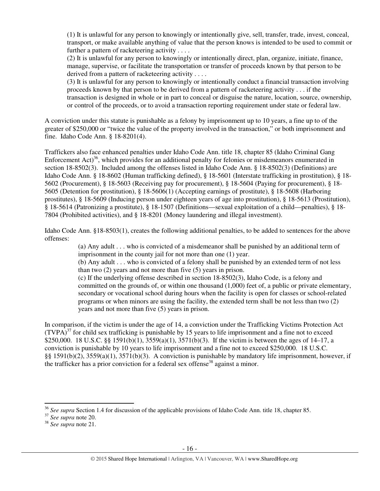(1) It is unlawful for any person to knowingly or intentionally give, sell, transfer, trade, invest, conceal, transport, or make available anything of value that the person knows is intended to be used to commit or further a pattern of racketeering activity . . . .

(2) It is unlawful for any person to knowingly or intentionally direct, plan, organize, initiate, finance, manage, supervise, or facilitate the transportation or transfer of proceeds known by that person to be derived from a pattern of racketeering activity . . . .

(3) It is unlawful for any person to knowingly or intentionally conduct a financial transaction involving proceeds known by that person to be derived from a pattern of racketeering activity . . . if the transaction is designed in whole or in part to conceal or disguise the nature, location, source, ownership, or control of the proceeds, or to avoid a transaction reporting requirement under state or federal law.

A conviction under this statute is punishable as a felony by imprisonment up to 10 years, a fine up to of the greater of \$250,000 or "twice the value of the property involved in the transaction," or both imprisonment and fine. Idaho Code Ann. § 18-8201(4).

Traffickers also face enhanced penalties under Idaho Code Ann. title 18, chapter 85 (Idaho Criminal Gang Enforcement  $\text{Act}^{36}$ , which provides for an additional penalty for felonies or misdemeanors enumerated in section 18-8502(3). Included among the offenses listed in Idaho Code Ann. § 18-8502(3) (Definitions) are Idaho Code Ann. § 18-8602 (Human trafficking defined), § 18-5601 (Interstate trafficking in prostitution), § 18- 5602 (Procurement), § 18-5603 (Receiving pay for procurement), § 18-5604 (Paying for procurement), § 18- 5605 (Detention for prostitution), § 18-5606(1) (Accepting earnings of prostitute), § 18-5608 (Harboring prostitutes), § 18-5609 (Inducing person under eighteen years of age into prostitution), § 18-5613 (Prostitution), § 18-5614 (Patronizing a prostitute), § 18-1507 (Definitions—sexual exploitation of a child—penalties), § 18- 7804 (Prohibited activities), and § 18-8201 (Money laundering and illegal investment).

Idaho Code Ann. §18-8503(1), creates the following additional penalties, to be added to sentences for the above offenses:

> (a) Any adult . . . who is convicted of a misdemeanor shall be punished by an additional term of imprisonment in the county jail for not more than one (1) year.

> (b) Any adult . . . who is convicted of a felony shall be punished by an extended term of not less than two (2) years and not more than five (5) years in prison.

(c) If the underlying offense described in section 18-8502(3), Idaho Code, is a felony and committed on the grounds of, or within one thousand (1,000) feet of, a public or private elementary, secondary or vocational school during hours when the facility is open for classes or school-related programs or when minors are using the facility, the extended term shall be not less than two (2) years and not more than five (5) years in prison.

In comparison, if the victim is under the age of 14, a conviction under the Trafficking Victims Protection Act  $(TVPA)^{37}$  for child sex trafficking is punishable by 15 years to life imprisonment and a fine not to exceed \$250,000. 18 U.S.C. §§ 1591(b)(1), 3559(a)(1), 3571(b)(3). If the victim is between the ages of 14–17, a conviction is punishable by 10 years to life imprisonment and a fine not to exceed \$250,000. 18 U.S.C. §§ 1591(b)(2), 3559(a)(1), 3571(b)(3). A conviction is punishable by mandatory life imprisonment, however, if the trafficker has a prior conviction for a federal sex offense<sup>38</sup> against a minor.

<sup>36</sup> *See supra* Section 1.4 for discussion of the applicable provisions of Idaho Code Ann. title 18, chapter 85.

<sup>37</sup> *See supra* note 20.

<sup>38</sup> *See supra* note 21.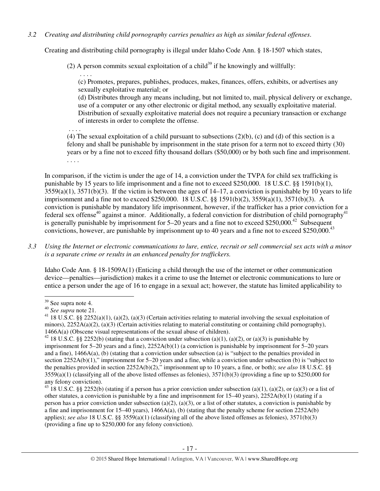*3.2 Creating and distributing child pornography carries penalties as high as similar federal offenses*.

Creating and distributing child pornography is illegal under Idaho Code Ann. § 18-1507 which states,

(2) A person commits sexual exploitation of a child<sup>39</sup> if he knowingly and willfully:

 . . . . (c) Promotes, prepares, publishes, produces, makes, finances, offers, exhibits, or advertises any sexually exploitative material; or

(d) Distributes through any means including, but not limited to, mail, physical delivery or exchange, use of a computer or any other electronic or digital method, any sexually exploitative material. Distribution of sexually exploitative material does not require a pecuniary transaction or exchange of interests in order to complete the offense.

. . . .

(4) The sexual exploitation of a child pursuant to subsections (2)(b), (c) and (d) of this section is a felony and shall be punishable by imprisonment in the state prison for a term not to exceed thirty (30) years or by a fine not to exceed fifty thousand dollars (\$50,000) or by both such fine and imprisonment. . . . .

In comparison, if the victim is under the age of 14, a conviction under the TVPA for child sex trafficking is punishable by 15 years to life imprisonment and a fine not to exceed \$250,000. 18 U.S.C. §§ 1591(b)(1),  $3559(a)(1)$ ,  $3571(b)(3)$ . If the victim is between the ages of  $14-17$ , a conviction is punishable by 10 years to life imprisonment and a fine not to exceed \$250,000. 18 U.S.C. §§ 1591(b)(2), 3559(a)(1), 3571(b)(3). A conviction is punishable by mandatory life imprisonment, however, if the trafficker has a prior conviction for a federal sex offense<sup>40</sup> against a minor. Additionally, a federal conviction for distribution of child pornography<sup>41</sup> is generally punishable by imprisonment for  $5-20$  years and a fine not to exceed \$250,000.<sup>42</sup> Subsequent convictions, however, are punishable by imprisonment up to 40 years and a fine not to exceed \$250,000.<sup>43</sup>

### *3.3 Using the Internet or electronic communications to lure, entice, recruit or sell commercial sex acts with a minor is a separate crime or results in an enhanced penalty for traffickers.*

Idaho Code Ann. § 18-1509A(1) (Enticing a child through the use of the internet or other communication device—penalties—jurisdiction) makes it a crime to use the Internet or electronic communications to lure or entice a person under the age of 16 to engage in a sexual act; however, the statute has limited applicability to

<sup>39</sup> See supra note 4.

<sup>40</sup> *See supra* note 21.

<sup>&</sup>lt;sup>41</sup> 18 U.S.C. §§ 2252(a)(1), (a)(2), (a)(3) (Certain activities relating to material involving the sexual exploitation of minors),  $2252A(a)(2)$ , (a)(3) (Certain activities relating to material constituting or containing child pornography), 1466A(a) (Obscene visual representations of the sexual abuse of children).

<sup>&</sup>lt;sup>42</sup> 18 U.S.C. §§ 2252(b) (stating that a conviction under subsection (a)(1), (a)(2), or (a)(3) is punishable by imprisonment for 5–20 years and a fine), 2252A(b)(1) (a conviction is punishable by imprisonment for 5–20 years and a fine), 1466A(a), (b) (stating that a conviction under subsection (a) is "subject to the penalties provided in section 2252A(b)(1)," imprisonment for 5–20 years and a fine, while a conviction under subsection (b) is "subject to the penalties provided in section 2252A(b)(2)," imprisonment up to 10 years, a fine, or both); *see also* 18 U.S.C. §§  $3559(a)(1)$  (classifying all of the above listed offenses as felonies),  $3571(b)(3)$  (providing a fine up to \$250,000 for any felony conviction).

<sup>&</sup>lt;sup>43</sup> 18 U.S.C. §§ 2252(b) (stating if a person has a prior conviction under subsection (a)(1), (a)(2), or (a)(3) or a list of other statutes, a conviction is punishable by a fine and imprisonment for  $15-40$  years),  $2252A(b)(1)$  (stating if a person has a prior conviction under subsection (a)(2), (a)(3), or a list of other statutes, a conviction is punishable by a fine and imprisonment for  $15-40$  years),  $1466A(a)$ , (b) (stating that the penalty scheme for section  $2252A(b)$ applies); *see also* 18 U.S.C. §§ 3559(a)(1) (classifying all of the above listed offenses as felonies), 3571(b)(3) (providing a fine up to \$250,000 for any felony conviction).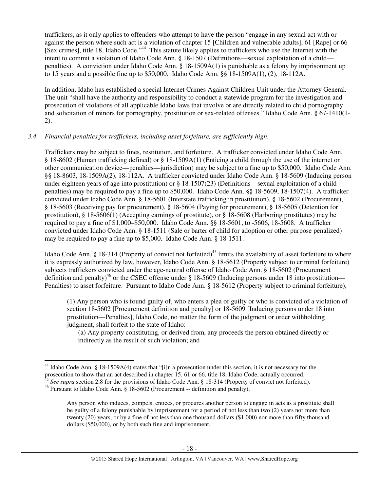traffickers, as it only applies to offenders who attempt to have the person "engage in any sexual act with or against the person where such act is a violation of chapter 15 [Children and vulnerable adults], 61 [Rape] or 66 [Sex crimes], title 18, Idaho Code."<sup>44</sup> This statute likely applies to traffickers who use the Internet with the intent to commit a violation of Idaho Code Ann. § 18-1507 (Definitions—sexual exploitation of a child penalties). A conviction under Idaho Code Ann. § 18-1509A(1) is punishable as a felony by imprisonment up to 15 years and a possible fine up to \$50,000. Idaho Code Ann. §§ 18-1509A(1), (2), 18-112A.

In addition, Idaho has established a special Internet Crimes Against Children Unit under the Attorney General. The unit "shall have the authority and responsibility to conduct a statewide program for the investigation and prosecution of violations of all applicable Idaho laws that involve or are directly related to child pornography and solicitation of minors for pornography, prostitution or sex-related offenses." Idaho Code Ann. § 67-1410(1- 2).

### *3.4 Financial penalties for traffickers, including asset forfeiture, are sufficiently high*.

Traffickers may be subject to fines, restitution, and forfeiture. A trafficker convicted under Idaho Code Ann. § 18-8602 (Human trafficking defined) or § 18-1509A(1) (Enticing a child through the use of the internet or other communication device—penalties—jurisdiction) may be subject to a fine up to \$50,000. Idaho Code Ann. §§ 18-8603, 18-1509A(2), 18-112A. A trafficker convicted under Idaho Code Ann. § 18-5609 (Inducing person under eighteen years of age into prostitution) or § 18-1507(23) (Definitions—sexual exploitation of a child penalties) may be required to pay a fine up to \$50,000. Idaho Code Ann. §§ 18-5609, 18-1507(4). A trafficker convicted under Idaho Code Ann. § 18-5601 (Interstate trafficking in prostitution), § 18-5602 (Procurement), § 18-5603 (Receiving pay for procurement), § 18-5604 (Paying for procurement), § 18-5605 (Detention for prostitution), § 18-5606(1) (Accepting earnings of prostitute), or § 18-5608 (Harboring prostitutes) may be required to pay a fine of \$1,000–\$50,000. Idaho Code Ann. §§ 18-5601, to -5606, 18-5608. A trafficker convicted under Idaho Code Ann. § 18-1511 (Sale or barter of child for adoption or other purpose penalized) may be required to pay a fine up to \$5,000. Idaho Code Ann. § 18-1511.

Idaho Code Ann. § 18-314 (Property of convict not forfeited)<sup>45</sup> limits the availability of asset forfeiture to where it is expressly authorized by law, however, Idaho Code Ann. § 18-5612 (Property subject to criminal forfeiture) subjects traffickers convicted under the age-neutral offense of Idaho Code Ann. § 18-5602 (Procurement definition and penalty)<sup>46</sup> or the CSEC offense under  $\S$  18-5609 (Inducing persons under 18 into prostitution— Penalties) to asset forfeiture. Pursuant to Idaho Code Ann. § 18-5612 (Property subject to criminal forfeiture),

(1) Any person who is found guilty of, who enters a plea of guilty or who is convicted of a violation of section 18-5602 [Procurement definition and penalty] or 18-5609 [Inducing persons under 18 into prostitution—Penalties], Idaho Code, no matter the form of the judgment or order withholding judgment, shall forfeit to the state of Idaho:

(a) Any property constituting, or derived from, any proceeds the person obtained directly or indirectly as the result of such violation; and

<sup>&</sup>lt;sup>44</sup> Idaho Code Ann. § 18-1509A(4) states that "[i]n a prosecution under this section, it is not necessary for the prosecution to show that an act described in chapter 15, 61 or 66, title 18, Idaho Code, actually occurred.

<sup>&</sup>lt;sup>45</sup> See supra section 2.8 for the provisions of Idaho Code Ann. § 18-314 (Property of convict not forfeited).

<sup>46</sup> Pursuant to Idaho Code Ann. § 18-5602 (Procurement -- definition and penalty),

Any person who induces, compels, entices, or procures another person to engage in acts as a prostitute shall be guilty of a felony punishable by imprisonment for a period of not less than two (2) years nor more than twenty (20) years, or by a fine of not less than one thousand dollars (\$1,000) nor more than fifty thousand dollars (\$50,000), or by both such fine and imprisonment.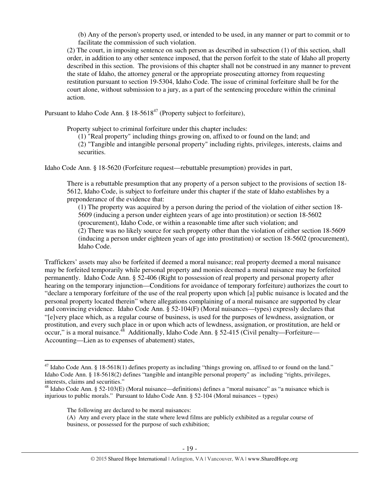(b) Any of the person's property used, or intended to be used, in any manner or part to commit or to facilitate the commission of such violation.

(2) The court, in imposing sentence on such person as described in subsection (1) of this section, shall order, in addition to any other sentence imposed, that the person forfeit to the state of Idaho all property described in this section. The provisions of this chapter shall not be construed in any manner to prevent the state of Idaho, the attorney general or the appropriate prosecuting attorney from requesting restitution pursuant to section 19-5304, Idaho Code. The issue of criminal forfeiture shall be for the court alone, without submission to a jury, as a part of the sentencing procedure within the criminal action.

Pursuant to Idaho Code Ann.  $\S 18-5618^{47}$  (Property subject to forfeiture),

Property subject to criminal forfeiture under this chapter includes:

(1) "Real property" including things growing on, affixed to or found on the land; and (2) "Tangible and intangible personal property" including rights, privileges, interests, claims and securities.

Idaho Code Ann. § 18-5620 (Forfeiture request—rebuttable presumption) provides in part,

There is a rebuttable presumption that any property of a person subject to the provisions of section 18- 5612, Idaho Code, is subject to forfeiture under this chapter if the state of Idaho establishes by a preponderance of the evidence that:

(1) The property was acquired by a person during the period of the violation of either section 18- 5609 (inducing a person under eighteen years of age into prostitution) or section 18-5602 (procurement), Idaho Code, or within a reasonable time after such violation; and

(2) There was no likely source for such property other than the violation of either section 18-5609 (inducing a person under eighteen years of age into prostitution) or section 18-5602 (procurement), Idaho Code.

Traffickers' assets may also be forfeited if deemed a moral nuisance; real property deemed a moral nuisance may be forfeited temporarily while personal property and monies deemed a moral nuisance may be forfeited permanently. Idaho Code Ann. § 52-406 (Right to possession of real property and personal property after hearing on the temporary injunction—Conditions for avoidance of temporary forfeiture) authorizes the court to "declare a temporary forfeiture of the use of the real property upon which [a] public nuisance is located and the personal property located therein" where allegations complaining of a moral nuisance are supported by clear and convincing evidence. Idaho Code Ann. § 52-104(F) (Moral nuisances—types) expressly declares that "[e]very place which, as a regular course of business, is used for the purposes of lewdness, assignation, or prostitution, and every such place in or upon which acts of lewdness, assignation, or prostitution, are held or occur," is a moral nuisance. $^{48}$  Additionally, Idaho Code Ann. § 52-415 (Civil penalty—Forfeiture— Accounting—Lien as to expenses of abatement) states,

<sup>&</sup>lt;sup>47</sup> Idaho Code Ann. § 18-5618(1) defines property as including "things growing on, affixed to or found on the land." Idaho Code Ann. § 18-5618(2) defines "tangible and intangible personal property" as including "rights, privileges, interests, claims and securities."

 $48$  Idaho Code Ann. § 52-103(E) (Moral nuisance—definitions) defines a "moral nuisance" as "a nuisance which is injurious to public morals." Pursuant to Idaho Code Ann. § 52-104 (Moral nuisances – types)

The following are declared to be moral nuisances:

<sup>(</sup>A) Any and every place in the state where lewd films are publicly exhibited as a regular course of business, or possessed for the purpose of such exhibition;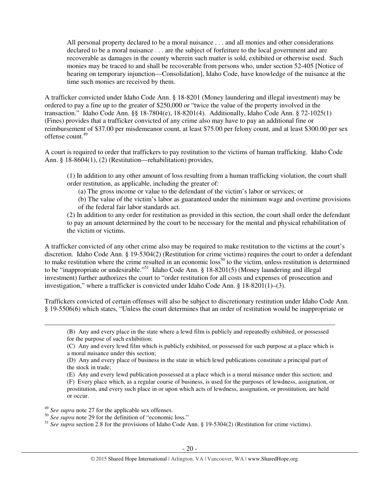All personal property declared to be a moral nuisance . . . and all monies and other considerations declared to be a moral nuisance . . . are the subject of forfeiture to the local government and are recoverable as damages in the county wherein such matter is sold, exhibited or otherwise used. Such monies may be traced to and shall be recoverable from persons who, under section 52-405 [Notice of hearing on temporary injunction—Consolidation], Idaho Code, have knowledge of the nuisance at the time such monies are received by them.

A trafficker convicted under Idaho Code Ann. § 18-8201 (Money laundering and illegal investment) may be ordered to pay a fine up to the greater of \$250,000 or "twice the value of the property involved in the transaction." Idaho Code Ann. §§ 18-7804(e), 18-8201(4). Additionally, Idaho Code Ann. § 72-1025(1) (Fines) provides that a trafficker convicted of any crime also may have to pay an additional fine or reimbursement of \$37.00 per misdemeanor count, at least \$75.00 per felony count, and at least \$300.00 per sex offense count.<sup>49</sup>

A court is required to order that traffickers to pay restitution to the victims of human trafficking. Idaho Code Ann. § 18-8604(1), (2) (Restitution—rehabilitation) provides,

(1) In addition to any other amount of loss resulting from a human trafficking violation, the court shall order restitution, as applicable, including the greater of:

(a) The gross income or value to the defendant of the victim's labor or services; or

(b) The value of the victim's labor as guaranteed under the minimum wage and overtime provisions of the federal fair labor standards act.

(2) In addition to any order for restitution as provided in this section, the court shall order the defendant to pay an amount determined by the court to be necessary for the mental and physical rehabilitation of the victim or victims.

A trafficker convicted of any other crime also may be required to make restitution to the victims at the court's discretion. Idaho Code Ann. § 19-5304(2) (Restitution for crime victims) requires the court to order a defendant to make restitution where the crime resulted in an economic  $loss^{50}$  to the victim, unless restitution is determined to be "inappropriate or undesirable."<sup>51</sup> Idaho Code Ann. § 18-8201(5) (Money laundering and illegal investment) further authorizes the court to "order restitution for all costs and expenses of prosecution and investigation," where a trafficker is convicted under Idaho Code Ann. § 18-8201(1)–(3).

Traffickers convicted of certain offenses will also be subject to discretionary restitution under Idaho Code Ann. § 19-5506(6) which states, "Unless the court determines that an order of restitution would be inappropriate or

(E) Any and every lewd publication possessed at a place which is a moral nuisance under this section; and (F) Every place which, as a regular course of business, is used for the purposes of lewdness, assignation, or prostitution, and every such place in or upon which acts of lewdness, assignation, or prostitution, are held or occur.

<sup>49</sup> *See supra* note 27 for the applicable sex offenses.

<sup>(</sup>B) Any and every place in the state where a lewd film is publicly and repeatedly exhibited, or possessed for the purpose of such exhibition;

<sup>(</sup>C) Any and every lewd film which is publicly exhibited, or possessed for such purpose at a place which is a moral nuisance under this section;

<sup>(</sup>D) Any and every place of business in the state in which lewd publications constitute a principal part of the stock in trade;

<sup>&</sup>lt;sup>50</sup> *See supra* note 29 for the definition of "economic loss."

<sup>&</sup>lt;sup>51</sup> *See supra* section 2.8 for the provisions of Idaho Code Ann. § 19-5304(2) (Restitution for crime victims).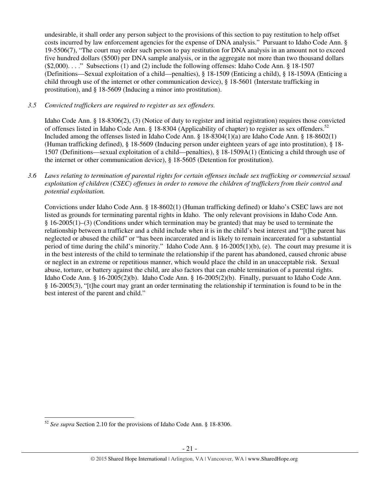undesirable, it shall order any person subject to the provisions of this section to pay restitution to help offset costs incurred by law enforcement agencies for the expense of DNA analysis." Pursuant to Idaho Code Ann. § 19-5506(7), "The court may order such person to pay restitution for DNA analysis in an amount not to exceed five hundred dollars (\$500) per DNA sample analysis, or in the aggregate not more than two thousand dollars (\$2,000). . . ." Subsections (1) and (2) include the following offenses: Idaho Code Ann. § 18-1507 (Definitions—Sexual exploitation of a child—penalties), § 18-1509 (Enticing a child), § 18-1509A (Enticing a child through use of the internet or other communication device), § 18-5601 (Interstate trafficking in prostitution), and § 18-5609 (Inducing a minor into prostitution).

*3.5 Convicted traffickers are required to register as sex offenders.*

Idaho Code Ann. § 18-8306(2), (3) (Notice of duty to register and initial registration) requires those convicted of offenses listed in Idaho Code Ann. § 18-8304 (Applicability of chapter) to register as sex offenders.<sup>52</sup> Included among the offenses listed in Idaho Code Ann. § 18-8304(1)(a) are Idaho Code Ann. § 18-8602(1) (Human trafficking defined), § 18-5609 (Inducing person under eighteen years of age into prostitution), § 18- 1507 (Definitions—sexual exploitation of a child—penalties), § 18-1509A(1) (Enticing a child through use of the internet or other communication device), § 18-5605 (Detention for prostitution).

*3.6 Laws relating to termination of parental rights for certain offenses include sex trafficking or commercial sexual exploitation of children (CSEC) offenses in order to remove the children of traffickers from their control and potential exploitation.* 

Convictions under Idaho Code Ann. § 18-8602(1) (Human trafficking defined) or Idaho's CSEC laws are not listed as grounds for terminating parental rights in Idaho. The only relevant provisions in Idaho Code Ann. § 16-2005(1)–(3) (Conditions under which termination may be granted) that may be used to terminate the relationship between a trafficker and a child include when it is in the child's best interest and "[t]he parent has neglected or abused the child" or "has been incarcerated and is likely to remain incarcerated for a substantial period of time during the child's minority." Idaho Code Ann. § 16-2005(1)(b), (e). The court may presume it is in the best interests of the child to terminate the relationship if the parent has abandoned, caused chronic abuse or neglect in an extreme or repetitious manner, which would place the child in an unacceptable risk. Sexual abuse, torture, or battery against the child, are also factors that can enable termination of a parental rights. Idaho Code Ann. § 16-2005(2)(b). Idaho Code Ann. § 16-2005(2)(b). Finally, pursuant to Idaho Code Ann. § 16-2005(3), "[t]he court may grant an order terminating the relationship if termination is found to be in the best interest of the parent and child."

<sup>52</sup> *See supra* Section 2.10 for the provisions of Idaho Code Ann. § 18-8306.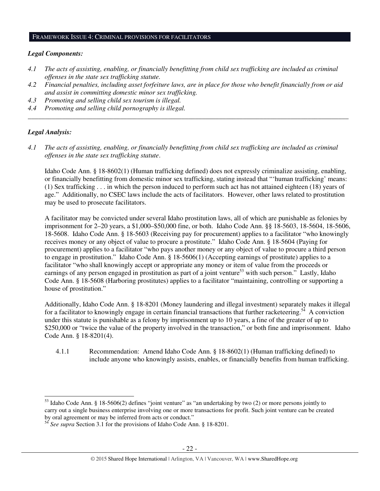#### FRAMEWORK ISSUE 4: CRIMINAL PROVISIONS FOR FACILITATORS

### *Legal Components:*

- *4.1 The acts of assisting, enabling, or financially benefitting from child sex trafficking are included as criminal offenses in the state sex trafficking statute.*
- *4.2 Financial penalties, including asset forfeiture laws, are in place for those who benefit financially from or aid and assist in committing domestic minor sex trafficking.*

*\_\_\_\_\_\_\_\_\_\_\_\_\_\_\_\_\_\_\_\_\_\_\_\_\_\_\_\_\_\_\_\_\_\_\_\_\_\_\_\_\_\_\_\_\_\_\_\_\_\_\_\_\_\_\_\_\_\_\_\_\_\_\_\_\_\_\_\_\_\_\_\_\_\_\_\_\_\_\_\_\_\_\_\_\_\_\_\_\_\_\_\_\_\_* 

- *4.3 Promoting and selling child sex tourism is illegal.*
- *4.4 Promoting and selling child pornography is illegal.*

### *Legal Analysis:*

l

*4.1 The acts of assisting, enabling, or financially benefitting from child sex trafficking are included as criminal offenses in the state sex trafficking statute*.

Idaho Code Ann. § 18-8602(1) (Human trafficking defined) does not expressly criminalize assisting, enabling, or financially benefitting from domestic minor sex trafficking, stating instead that "'human trafficking' means: (1) Sex trafficking . . . in which the person induced to perform such act has not attained eighteen (18) years of age." Additionally, no CSEC laws include the acts of facilitators. However, other laws related to prostitution may be used to prosecute facilitators.

A facilitator may be convicted under several Idaho prostitution laws, all of which are punishable as felonies by imprisonment for 2–20 years, a \$1,000–\$50,000 fine, or both. Idaho Code Ann. §§ 18-5603, 18-5604, 18-5606, 18-5608. Idaho Code Ann. § 18-5603 (Receiving pay for procurement) applies to a facilitator "who knowingly receives money or any object of value to procure a prostitute." Idaho Code Ann. § 18-5604 (Paying for procurement) applies to a facilitator "who pays another money or any object of value to procure a third person to engage in prostitution." Idaho Code Ann. § 18-5606(1) (Accepting earnings of prostitute) applies to a facilitator "who shall knowingly accept or appropriate any money or item of value from the proceeds or earnings of any person engaged in prostitution as part of a joint venture<sup>53</sup> with such person." Lastly, Idaho Code Ann. § 18-5608 (Harboring prostitutes) applies to a facilitator "maintaining, controlling or supporting a house of prostitution."

Additionally, Idaho Code Ann. § 18-8201 (Money laundering and illegal investment) separately makes it illegal for a facilitator to knowingly engage in certain financial transactions that further racketeering.<sup>54</sup> A conviction under this statute is punishable as a felony by imprisonment up to 10 years, a fine of the greater of up to \$250,000 or "twice the value of the property involved in the transaction," or both fine and imprisonment. Idaho Code Ann. § 18-8201(4).

4.1.1 Recommendation: Amend Idaho Code Ann. § 18-8602(1) (Human trafficking defined) to include anyone who knowingly assists, enables, or financially benefits from human trafficking.

<sup>&</sup>lt;sup>53</sup> Idaho Code Ann. § 18-5606(2) defines "joint venture" as "an undertaking by two (2) or more persons jointly to carry out a single business enterprise involving one or more transactions for profit. Such joint venture can be created by oral agreement or may be inferred from acts or conduct."

<sup>54</sup> *See supra* Section 3.1 for the provisions of Idaho Code Ann. § 18-8201.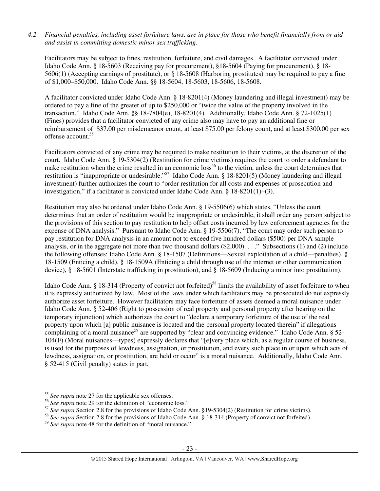### *4.2 Financial penalties, including asset forfeiture laws, are in place for those who benefit financially from or aid and assist in committing domestic minor sex trafficking.*

Facilitators may be subject to fines, restitution, forfeiture, and civil damages. A facilitator convicted under Idaho Code Ann. § 18-5603 (Receiving pay for procurement), §18-5604 (Paying for procurement), § 18- 5606(1) (Accepting earnings of prostitute), or § 18-5608 (Harboring prostitutes) may be required to pay a fine of \$1,000–\$50,000. Idaho Code Ann. §§ 18-5604, 18-5603, 18-5606, 18-5608.

A facilitator convicted under Idaho Code Ann. § 18-8201(4) (Money laundering and illegal investment) may be ordered to pay a fine of the greater of up to \$250,000 or "twice the value of the property involved in the transaction." Idaho Code Ann. §§ 18-7804(e), 18-8201(4). Additionally, Idaho Code Ann. § 72-1025(1) (Fines) provides that a facilitator convicted of any crime also may have to pay an additional fine or reimbursement of \$37.00 per misdemeanor count, at least \$75.00 per felony count, and at least \$300.00 per sex offense account.<sup>55</sup>

Facilitators convicted of any crime may be required to make restitution to their victims, at the discretion of the court. Idaho Code Ann. § 19-5304(2) (Restitution for crime victims) requires the court to order a defendant to make restitution when the crime resulted in an economic loss<sup>56</sup> to the victim, unless the court determines that restitution is "inappropriate or undesirable."<sup>57</sup> Idaho Code Ann. § 18-8201(5) (Money laundering and illegal investment) further authorizes the court to "order restitution for all costs and expenses of prosecution and investigation," if a facilitator is convicted under Idaho Code Ann. § 18-8201(1)–(3).

Restitution may also be ordered under Idaho Code Ann. § 19-5506(6) which states, "Unless the court determines that an order of restitution would be inappropriate or undesirable, it shall order any person subject to the provisions of this section to pay restitution to help offset costs incurred by law enforcement agencies for the expense of DNA analysis." Pursuant to Idaho Code Ann. § 19-5506(7), "The court may order such person to pay restitution for DNA analysis in an amount not to exceed five hundred dollars (\$500) per DNA sample analysis, or in the aggregate not more than two thousand dollars (\$2,000). . . ." Subsections (1) and (2) include the following offenses: Idaho Code Ann. § 18-1507 (Definitions—Sexual exploitation of a child—penalties), § 18-1509 (Enticing a child), § 18-1509A (Enticing a child through use of the internet or other communication device), § 18-5601 (Interstate trafficking in prostitution), and § 18-5609 (Inducing a minor into prostitution).

Idaho Code Ann. § 18-314 (Property of convict not forfeited)<sup>58</sup> limits the availability of asset forfeiture to when it is expressly authorized by law. Most of the laws under which facilitators may be prosecuted do not expressly authorize asset forfeiture. However facilitators may face forfeiture of assets deemed a moral nuisance under Idaho Code Ann. § 52-406 (Right to possession of real property and personal property after hearing on the temporary injunction) which authorizes the court to "declare a temporary forfeiture of the use of the real property upon which [a] public nuisance is located and the personal property located therein" if allegations complaining of a moral nuisance<sup>59</sup> are supported by "clear and convincing evidence." Idaho Code Ann.  $\S$  52-104(F) (Moral nuisances—types) expressly declares that "[e]very place which, as a regular course of business, is used for the purposes of lewdness, assignation, or prostitution, and every such place in or upon which acts of lewdness, assignation, or prostitution, are held or occur" is a moral nuisance. Additionally, Idaho Code Ann. § 52-415 (Civil penalty) states in part,

<sup>55</sup> *See supra* note 27 for the applicable sex offenses.

<sup>&</sup>lt;sup>56</sup> See supra note 29 for the definition of "economic loss."

<sup>&</sup>lt;sup>57</sup> See supra Section 2.8 for the provisions of Idaho Code Ann. §19-5304(2) (Restitution for crime victims).

<sup>&</sup>lt;sup>58</sup> See supra Section 2.8 for the provisions of Idaho Code Ann. § 18-314 (Property of convict not forfeited).

<sup>&</sup>lt;sup>59</sup> See supra note 48 for the definition of "moral nuisance."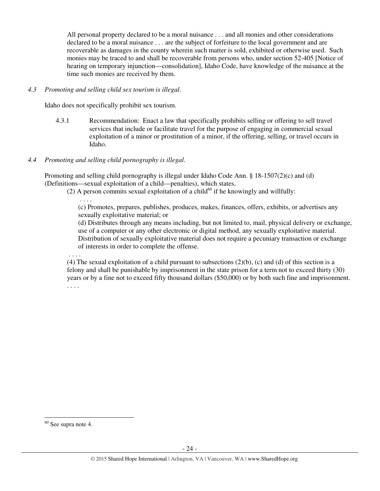All personal property declared to be a moral nuisance . . . and all monies and other considerations declared to be a moral nuisance . . . are the subject of forfeiture to the local government and are recoverable as damages in the county wherein such matter is sold, exhibited or otherwise used. Such monies may be traced to and shall be recoverable from persons who, under section 52-405 [Notice of hearing on temporary injunction—consolidation], Idaho Code, have knowledge of the nuisance at the time such monies are received by them.

### *4.3 Promoting and selling child sex tourism is illegal*.

Idaho does not specifically prohibit sex tourism.

4.3.1 Recommendation: Enact a law that specifically prohibits selling or offering to sell travel services that include or facilitate travel for the purpose of engaging in commercial sexual exploitation of a minor or prostitution of a minor, if the offering, selling, or travel occurs in Idaho.

### *4.4 Promoting and selling child pornography is illegal*.

Promoting and selling child pornography is illegal under Idaho Code Ann. § 18-1507(2)(c) and (d) (Definitions—sexual exploitation of a child—penalties), which states,

(2) A person commits sexual exploitation of a child $^{60}$  if he knowingly and willfully:

(c) Promotes, prepares, publishes, produces, makes, finances, offers, exhibits, or advertises any sexually exploitative material; or

(d) Distributes through any means including, but not limited to, mail, physical delivery or exchange, use of a computer or any other electronic or digital method, any sexually exploitative material. Distribution of sexually exploitative material does not require a pecuniary transaction or exchange of interests in order to complete the offense.

. . . .

. . . .

(4) The sexual exploitation of a child pursuant to subsections  $(2)(b)$ , (c) and (d) of this section is a felony and shall be punishable by imprisonment in the state prison for a term not to exceed thirty (30) years or by a fine not to exceed fifty thousand dollars (\$50,000) or by both such fine and imprisonment. . . . .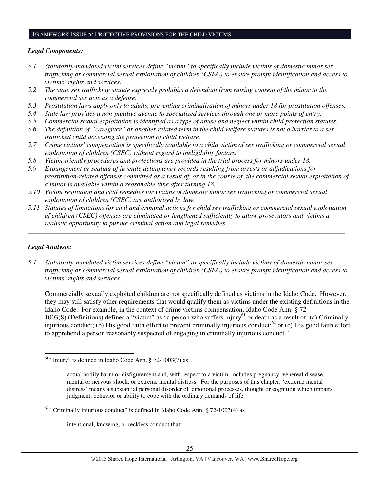### FRAMEWORK ISSUE 5: PROTECTIVE PROVISIONS FOR THE CHILD VICTIMS

### *Legal Components:*

- *5.1 Statutorily-mandated victim services define "victim" to specifically include victims of domestic minor sex trafficking or commercial sexual exploitation of children (CSEC) to ensure prompt identification and access to victims' rights and services.*
- *5.2 The state sex trafficking statute expressly prohibits a defendant from raising consent of the minor to the commercial sex acts as a defense.*
- *5.3 Prostitution laws apply only to adults, preventing criminalization of minors under 18 for prostitution offenses.*
- *5.4 State law provides a non-punitive avenue to specialized services through one or more points of entry.*
- *5.5 Commercial sexual exploitation is identified as a type of abuse and neglect within child protection statutes.*
- *5.6 The definition of "caregiver" or another related term in the child welfare statutes is not a barrier to a sex trafficked child accessing the protection of child welfare.*
- *5.7 Crime victims' compensation is specifically available to a child victim of sex trafficking or commercial sexual exploitation of children (CSEC) without regard to ineligibility factors.*
- *5.8 Victim-friendly procedures and protections are provided in the trial process for minors under 18.*
- *5.9 Expungement or sealing of juvenile delinquency records resulting from arrests or adjudications for prostitution-related offenses committed as a result of, or in the course of, the commercial sexual exploitation of a minor is available within a reasonable time after turning 18.*
- *5.10 Victim restitution and civil remedies for victims of domestic minor sex trafficking or commercial sexual exploitation of children (CSEC) are authorized by law.*
- *5.11 Statutes of limitations for civil and criminal actions for child sex trafficking or commercial sexual exploitation of children (CSEC) offenses are eliminated or lengthened sufficiently to allow prosecutors and victims a realistic opportunity to pursue criminal action and legal remedies.*

*\_\_\_\_\_\_\_\_\_\_\_\_\_\_\_\_\_\_\_\_\_\_\_\_\_\_\_\_\_\_\_\_\_\_\_\_\_\_\_\_\_\_\_\_\_\_\_\_\_\_\_\_\_\_\_\_\_\_\_\_\_\_\_\_\_\_\_\_\_\_\_\_\_\_\_\_\_\_\_\_\_\_\_\_\_\_\_\_\_\_\_\_\_* 

# *Legal Analysis:*

l

*5.1 Statutorily-mandated victim services define "victim" to specifically include victims of domestic minor sex trafficking or commercial sexual exploitation of children (CSEC) to ensure prompt identification and access to victims' rights and services.* 

Commercially sexually exploited children are not specifically defined as victims in the Idaho Code. However, they may still satisfy other requirements that would qualify them as victims under the existing definitions in the Idaho Code. For example, in the context of crime victims compensation, Idaho Code Ann. § 72-  $1003(8)$  (Definitions) defines a "victim" as "a person who suffers injury<sup>61</sup> or death as a result of: (a) Criminally injurious conduct; (b) His good faith effort to prevent criminally injurious conduct; $^{62}$  or (c) His good faith effort to apprehend a person reasonably suspected of engaging in criminally injurious conduct."

intentional, knowing, or reckless conduct that:

 $61$  "Injury" is defined in Idaho Code Ann. § 72-1003(7) as

actual bodily harm or disfigurement and, with respect to a victim, includes pregnancy, venereal disease, mental or nervous shock, or extreme mental distress. For the purposes of this chapter, 'extreme mental distress' means a substantial personal disorder of emotional processes, thought or cognition which impairs judgment, behavior or ability to cope with the ordinary demands of life.

 $62$  "Criminally injurious conduct" is defined in Idaho Code Ann. § 72-1003(4) as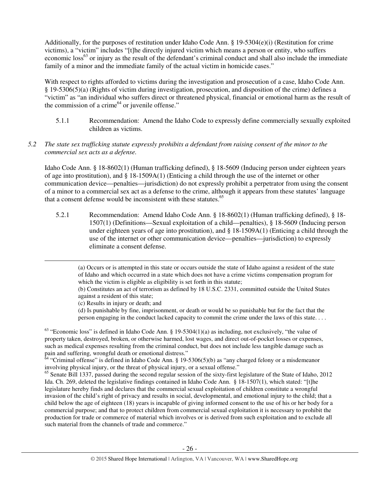Additionally, for the purposes of restitution under Idaho Code Ann.  $\S$  19-5304(e)(i) (Restitution for crime victims), a "victim" includes "[t]he directly injured victim which means a person or entity, who suffers economic loss<sup>63</sup> or injury as the result of the defendant's criminal conduct and shall also include the immediate family of a minor and the immediate family of the actual victim in homicide cases."

With respect to rights afforded to victims during the investigation and prosecution of a case, Idaho Code Ann. § 19-5306(5)(a) (Rights of victim during investigation, prosecution, and disposition of the crime) defines a "victim" as "an individual who suffers direct or threatened physical, financial or emotional harm as the result of the commission of a crime $^{64}$  or juvenile offense."

- 5.1.1 Recommendation: Amend the Idaho Code to expressly define commercially sexually exploited children as victims.
- *5.2 The state sex trafficking statute expressly prohibits a defendant from raising consent of the minor to the commercial sex acts as a defense.*

Idaho Code Ann. § 18-8602(1) (Human trafficking defined), § 18-5609 (Inducing person under eighteen years of age into prostitution), and § 18-1509A(1) (Enticing a child through the use of the internet or other communication device—penalties—jurisdiction) do not expressly prohibit a perpetrator from using the consent of a minor to a commercial sex act as a defense to the crime, although it appears from these statutes' language that a consent defense would be inconsistent with these statutes.<sup>65</sup>

5.2.1 Recommendation: Amend Idaho Code Ann. § 18-8602(1) (Human trafficking defined), § 18- 1507(1) (Definitions—Sexual exploitation of a child—penalties), § 18-5609 (Inducing person under eighteen years of age into prostitution), and  $\S$  18-1509A(1) (Enticing a child through the use of the internet or other communication device—penalties—jurisdiction) to expressly eliminate a consent defense.

(a) Occurs or is attempted in this state or occurs outside the state of Idaho against a resident of the state of Idaho and which occurred in a state which does not have a crime victims compensation program for which the victim is eligible as eligibility is set forth in this statute;

(b) Constitutes an act of terrorism as defined by 18 U.S.C. 2331, committed outside the United States against a resident of this state;

(c) Results in injury or death; and

 $\overline{a}$ 

(d) Is punishable by fine, imprisonment, or death or would be so punishable but for the fact that the person engaging in the conduct lacked capacity to commit the crime under the laws of this state. . . .

 $63$  "Economic loss" is defined in Idaho Code Ann. § 19-5304(1)(a) as including, not exclusively, "the value of property taken, destroyed, broken, or otherwise harmed, lost wages, and direct out-of-pocket losses or expenses, such as medical expenses resulting from the criminal conduct, but does not include less tangible damage such as pain and suffering, wrongful death or emotional distress."

 $64$  "Criminal offense" is defined in Idaho Code Ann. § 19-5306(5)(b) as "any charged felony or a misdemeanor involving physical injury, or the threat of physical injury, or a sexual offense."

<sup>65</sup> Senate Bill 1337, passed during the second regular session of the sixty-first legislature of the State of Idaho, 2012 Ida. Ch. 269, deleted the legislative findings contained in Idaho Code Ann. § 18-1507(1), which stated: "[t]he legislature hereby finds and declares that the commercial sexual exploitation of children constitute a wrongful invasion of the child's right of privacy and results in social, developmental, and emotional injury to the child; that a child below the age of eighteen (18) years is incapable of giving informed consent to the use of his or her body for a commercial purpose; and that to protect children from commercial sexual exploitation it is necessary to prohibit the production for trade or commerce of material which involves or is derived from such exploitation and to exclude all such material from the channels of trade and commerce."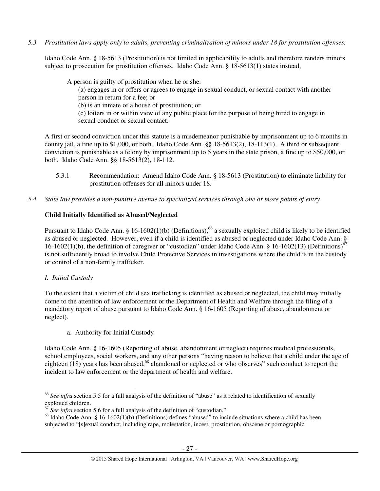*5.3 Prostitution laws apply only to adults, preventing criminalization of minors under 18 for prostitution offenses.* 

Idaho Code Ann. § 18-5613 (Prostitution) is not limited in applicability to adults and therefore renders minors subject to prosecution for prostitution offenses. Idaho Code Ann. § 18-5613(1) states instead,

A person is guilty of prostitution when he or she: (a) engages in or offers or agrees to engage in sexual conduct, or sexual contact with another person in return for a fee; or (b) is an inmate of a house of prostitution; or (c) loiters in or within view of any public place for the purpose of being hired to engage in sexual conduct or sexual contact.

A first or second conviction under this statute is a misdemeanor punishable by imprisonment up to 6 months in county jail, a fine up to \$1,000, or both. Idaho Code Ann. §§ 18-5613(2), 18-113(1). A third or subsequent conviction is punishable as a felony by imprisonment up to 5 years in the state prison, a fine up to \$50,000, or both. Idaho Code Ann. §§ 18-5613(2), 18-112.

- 5.3.1 Recommendation: Amend Idaho Code Ann. § 18-5613 (Prostitution) to eliminate liability for prostitution offenses for all minors under 18.
- *5.4 State law provides a non-punitive avenue to specialized services through one or more points of entry.*

# **Child Initially Identified as Abused/Neglected**

Pursuant to Idaho Code Ann. § 16-1602(1)(b) (Definitions),<sup>66</sup> a sexually exploited child is likely to be identified as abused or neglected. However, even if a child is identified as abused or neglected under Idaho Code Ann. § 16-1602(1)(b), the definition of caregiver or "custodian" under Idaho Code Ann. § 16-1602(13) (Definitions)<sup>67</sup> is not sufficiently broad to involve Child Protective Services in investigations where the child is in the custody or control of a non-family trafficker.

# *I. Initial Custody*

 $\overline{a}$ 

To the extent that a victim of child sex trafficking is identified as abused or neglected, the child may initially come to the attention of law enforcement or the Department of Health and Welfare through the filing of a mandatory report of abuse pursuant to Idaho Code Ann. § 16-1605 (Reporting of abuse, abandonment or neglect).

a. Authority for Initial Custody

Idaho Code Ann. § 16-1605 (Reporting of abuse, abandonment or neglect) requires medical professionals, school employees, social workers, and any other persons "having reason to believe that a child under the age of eighteen (18) years has been abused,<sup>68</sup> abandoned or neglected or who observes" such conduct to report the incident to law enforcement or the department of health and welfare.

<sup>66</sup> *See infra* section 5.5 for a full analysis of the definition of "abuse" as it related to identification of sexually exploited children.

<sup>67</sup> *See infra* section 5.6 for a full analysis of the definition of "custodian."

 $68$  Idaho Code Ann. § 16-1602(1)(b) (Definitions) defines "abused" to include situations where a child has been subjected to "[s]exual conduct, including rape, molestation, incest, prostitution, obscene or pornographic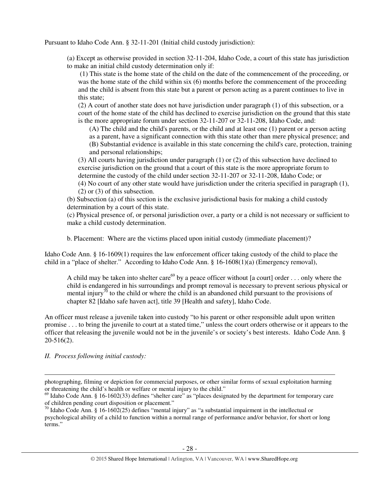Pursuant to Idaho Code Ann. § 32-11-201 (Initial child custody jurisdiction):

(a) Except as otherwise provided in section 32-11-204, Idaho Code, a court of this state has jurisdiction to make an initial child custody determination only if:

 (1) This state is the home state of the child on the date of the commencement of the proceeding, or was the home state of the child within six (6) months before the commencement of the proceeding and the child is absent from this state but a parent or person acting as a parent continues to live in this state;

(2) A court of another state does not have jurisdiction under paragraph (1) of this subsection, or a court of the home state of the child has declined to exercise jurisdiction on the ground that this state is the more appropriate forum under section 32-11-207 or 32-11-208, Idaho Code, and:

(A) The child and the child's parents, or the child and at least one (1) parent or a person acting as a parent, have a significant connection with this state other than mere physical presence; and (B) Substantial evidence is available in this state concerning the child's care, protection, training and personal relationships;

(3) All courts having jurisdiction under paragraph (1) or (2) of this subsection have declined to exercise jurisdiction on the ground that a court of this state is the more appropriate forum to determine the custody of the child under section 32-11-207 or 32-11-208, Idaho Code; or (4) No court of any other state would have jurisdiction under the criteria specified in paragraph (1),

(2) or (3) of this subsection.

(b) Subsection (a) of this section is the exclusive jurisdictional basis for making a child custody determination by a court of this state.

(c) Physical presence of, or personal jurisdiction over, a party or a child is not necessary or sufficient to make a child custody determination.

b. Placement: Where are the victims placed upon initial custody (immediate placement)?

Idaho Code Ann. § 16-1609(1) requires the law enforcement officer taking custody of the child to place the child in a "place of shelter." According to Idaho Code Ann. § 16-1608(1)(a) (Emergency removal),

A child may be taken into shelter care<sup>69</sup> by a peace officer without [a court] order . . . only where the child is endangered in his surroundings and prompt removal is necessary to prevent serious physical or mental injury<sup>70</sup> to the child or where the child is an abandoned child pursuant to the provisions of chapter 82 [Idaho safe haven act], title 39 [Health and safety], Idaho Code.

An officer must release a juvenile taken into custody "to his parent or other responsible adult upon written promise . . . to bring the juvenile to court at a stated time," unless the court orders otherwise or it appears to the officer that releasing the juvenile would not be in the juvenile's or society's best interests. Idaho Code Ann. § 20-516(2).

*II. Process following initial custody:* 

 $\overline{a}$ 

photographing, filming or depiction for commercial purposes, or other similar forms of sexual exploitation harming or threatening the child's health or welfare or mental injury to the child."

<sup>&</sup>lt;sup>69</sup> Idaho Code Ann. § 16-1602(33) defines "shelter care" as "places designated by the department for temporary care of children pending court disposition or placement."

<sup>70</sup> Idaho Code Ann. § 16-1602(25) defines "mental injury" as "a substantial impairment in the intellectual or psychological ability of a child to function within a normal range of performance and/or behavior, for short or long terms<sup>"</sup>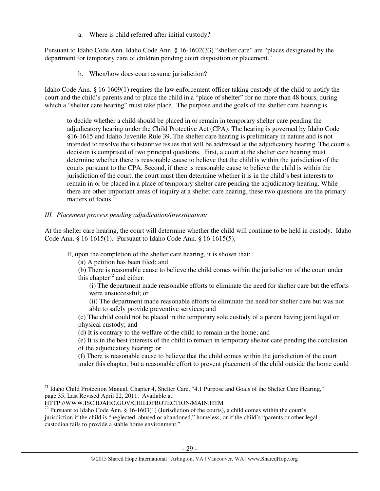a. Where is child referred after initial custody**?** 

Pursuant to Idaho Code Ann. Idaho Code Ann. § 16-1602(33) "shelter care" are "places designated by the department for temporary care of children pending court disposition or placement."

b. When/how does court assume jurisdiction?

Idaho Code Ann. § 16-1609(1) requires the law enforcement officer taking custody of the child to notify the court and the child's parents and to place the child in a "place of shelter" for no more than 48 hours, during which a "shelter care hearing" must take place. The purpose and the goals of the shelter care hearing is

to decide whether a child should be placed in or remain in temporary shelter care pending the adjudicatory hearing under the Child Protective Act (CPA). The hearing is governed by Idaho Code §16-1615 and Idaho Juvenile Rule 39. The shelter care hearing is preliminary in nature and is not intended to resolve the substantive issues that will be addressed at the adjudicatory hearing. The court's decision is comprised of two principal questions. First, a court at the shelter care hearing must determine whether there is reasonable cause to believe that the child is within the jurisdiction of the courts pursuant to the CPA. Second, if there is reasonable cause to believe the child is within the jurisdiction of the court, the court must then determine whether it is in the child's best interests to remain in or be placed in a place of temporary shelter care pending the adjudicatory hearing. While there are other important areas of inquiry at a shelter care hearing, these two questions are the primary matters of focus.<sup>71</sup>

# *III. Placement process pending adjudication/investigation:*

At the shelter care hearing, the court will determine whether the child will continue to be held in custody. Idaho Code Ann. § 16-1615(1). Pursuant to Idaho Code Ann. § 16-1615(5),

If, upon the completion of the shelter care hearing, it is shown that:

- (a) A petition has been filed; and
- (b) There is reasonable cause to believe the child comes within the jurisdiction of the court under this chapter<sup>72</sup> and either:
	- (i) The department made reasonable efforts to eliminate the need for shelter care but the efforts were unsuccessful; or
	- (ii) The department made reasonable efforts to eliminate the need for shelter care but was not able to safely provide preventive services; and

(c) The child could not be placed in the temporary sole custody of a parent having joint legal or physical custody; and

(d) It is contrary to the welfare of the child to remain in the home; and

(e) It is in the best interests of the child to remain in temporary shelter care pending the conclusion of the adjudicatory hearing; or

(f) There is reasonable cause to believe that the child comes within the jurisdiction of the court under this chapter, but a reasonable effort to prevent placement of the child outside the home could

<sup>&</sup>lt;sup>71</sup> Idaho Child Protection Manual, Chapter 4, Shelter Care, "4.1 Purpose and Goals of the Shelter Care Hearing," page 35, Last Revised April 22, 2011. Available at:

HTTP://WWW.ISC.IDAHO.GOV/CHILDPROTECTION/MAIN.HTM

<sup>&</sup>lt;sup>72</sup> Pursuant to Idaho Code Ann. § 16-1603(1) (Jurisdiction of the courts), a child comes within the court's jurisdiction if the child is "neglected, abused or abandoned," homeless, or if the child's "parents or other legal custodian fails to provide a stable home environment."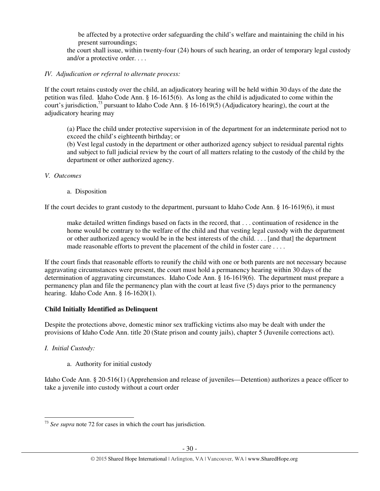be affected by a protective order safeguarding the child's welfare and maintaining the child in his present surroundings;

the court shall issue, within twenty-four (24) hours of such hearing, an order of temporary legal custody and/or a protective order. . . .

### *IV. Adjudication or referral to alternate process:*

If the court retains custody over the child, an adjudicatory hearing will be held within 30 days of the date the petition was filed. Idaho Code Ann. § 16-1615(6). As long as the child is adjudicated to come within the court's jurisdiction,<sup>73</sup> pursuant to Idaho Code Ann. § 16-1619(5) (Adjudicatory hearing), the court at the adjudicatory hearing may

(a) Place the child under protective supervision in of the department for an indeterminate period not to exceed the child's eighteenth birthday; or

(b) Vest legal custody in the department or other authorized agency subject to residual parental rights and subject to full judicial review by the court of all matters relating to the custody of the child by the department or other authorized agency.

### *V. Outcomes*

a. Disposition

If the court decides to grant custody to the department, pursuant to Idaho Code Ann. § 16-1619(6), it must

make detailed written findings based on facts in the record, that . . . continuation of residence in the home would be contrary to the welfare of the child and that vesting legal custody with the department or other authorized agency would be in the best interests of the child. . . . [and that] the department made reasonable efforts to prevent the placement of the child in foster care . . . .

If the court finds that reasonable efforts to reunify the child with one or both parents are not necessary because aggravating circumstances were present, the court must hold a permanency hearing within 30 days of the determination of aggravating circumstances. Idaho Code Ann. § 16-1619(6). The department must prepare a permanency plan and file the permanency plan with the court at least five (5) days prior to the permanency hearing. Idaho Code Ann. § 16-1620(1).

# **Child Initially Identified as Delinquent**

Despite the protections above, domestic minor sex trafficking victims also may be dealt with under the provisions of Idaho Code Ann. title 20 (State prison and county jails), chapter 5 (Juvenile corrections act).

# *I. Initial Custody:*

 $\overline{a}$ 

a. Authority for initial custody

Idaho Code Ann. § 20-516(1) (Apprehension and release of juveniles—Detention) authorizes a peace officer to take a juvenile into custody without a court order

<sup>73</sup> *See supra* note 72 for cases in which the court has jurisdiction.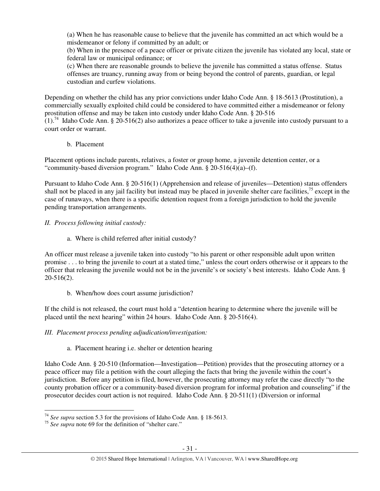(a) When he has reasonable cause to believe that the juvenile has committed an act which would be a misdemeanor or felony if committed by an adult; or

(b) When in the presence of a peace officer or private citizen the juvenile has violated any local, state or federal law or municipal ordinance; or

(c) When there are reasonable grounds to believe the juvenile has committed a status offense. Status offenses are truancy, running away from or being beyond the control of parents, guardian, or legal custodian and curfew violations.

Depending on whether the child has any prior convictions under Idaho Code Ann. § 18-5613 (Prostitution), a commercially sexually exploited child could be considered to have committed either a misdemeanor or felony prostitution offense and may be taken into custody under Idaho Code Ann. § 20-516

 $(1)$ .<sup>74</sup> Idaho Code Ann. § 20-516(2) also authorizes a peace officer to take a juvenile into custody pursuant to a court order or warrant.

b. Placement

Placement options include parents, relatives, a foster or group home, a juvenile detention center, or a "community-based diversion program." Idaho Code Ann. § 20-516(4)(a)–(f).

Pursuant to Idaho Code Ann. § 20-516(1) (Apprehension and release of juveniles—Detention) status offenders shall not be placed in any jail facility but instead may be placed in juvenile shelter care facilities,<sup>75</sup> except in the case of runaways, when there is a specific detention request from a foreign jurisdiction to hold the juvenile pending transportation arrangements.

# *II. Process following initial custody:*

a. Where is child referred after initial custody?

An officer must release a juvenile taken into custody "to his parent or other responsible adult upon written promise . . . to bring the juvenile to court at a stated time," unless the court orders otherwise or it appears to the officer that releasing the juvenile would not be in the juvenile's or society's best interests. Idaho Code Ann. § 20-516(2).

b. When/how does court assume jurisdiction?

If the child is not released, the court must hold a "detention hearing to determine where the juvenile will be placed until the next hearing" within 24 hours. Idaho Code Ann. § 20-516(4).

# *III. Placement process pending adjudication/investigation:*

# a. Placement hearing i.e. shelter or detention hearing

Idaho Code Ann. § 20-510 (Information—Investigation—Petition) provides that the prosecuting attorney or a peace officer may file a petition with the court alleging the facts that bring the juvenile within the court's jurisdiction. Before any petition is filed, however, the prosecuting attorney may refer the case directly "to the county probation officer or a community-based diversion program for informal probation and counseling" if the prosecutor decides court action is not required. Idaho Code Ann. § 20-511(1) (Diversion or informal

<sup>74</sup> *See supra* section 5.3 for the provisions of Idaho Code Ann. § 18-5613.

<sup>&</sup>lt;sup>75</sup> See supra note 69 for the definition of "shelter care."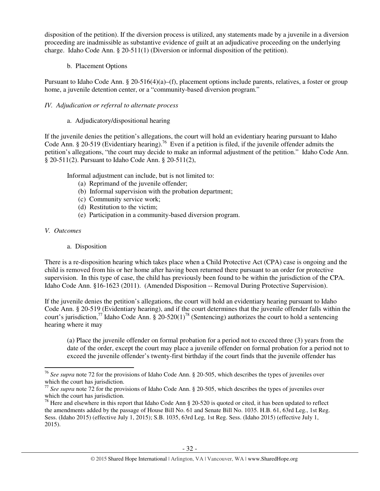disposition of the petition). If the diversion process is utilized, any statements made by a juvenile in a diversion proceeding are inadmissible as substantive evidence of guilt at an adjudicative proceeding on the underlying charge. Idaho Code Ann. § 20-511(1) (Diversion or informal disposition of the petition).

b. Placement Options

Pursuant to Idaho Code Ann. § 20-516(4)(a)–(f), placement options include parents, relatives, a foster or group home, a juvenile detention center, or a "community-based diversion program."

# *IV. Adjudication or referral to alternate process*

a. Adjudicatory/dispositional hearing

If the juvenile denies the petition's allegations, the court will hold an evidentiary hearing pursuant to Idaho Code Ann. § 20-519 (Evidentiary hearing).<sup>76</sup> Even if a petition is filed, if the juvenile offender admits the petition's allegations, "the court may decide to make an informal adjustment of the petition." Idaho Code Ann. § 20-511(2). Pursuant to Idaho Code Ann. § 20-511(2),

Informal adjustment can include, but is not limited to:

- (a) Reprimand of the juvenile offender;
- (b) Informal supervision with the probation department;
- (c) Community service work;
- (d) Restitution to the victim;
- (e) Participation in a community-based diversion program.

# *V. Outcomes*

 $\overline{a}$ 

# a. Disposition

There is a re-disposition hearing which takes place when a Child Protective Act (CPA) case is ongoing and the child is removed from his or her home after having been returned there pursuant to an order for protective supervision. In this type of case, the child has previously been found to be within the jurisdiction of the CPA. Idaho Code Ann. §16-1623 (2011). (Amended Disposition -- Removal During Protective Supervision).

If the juvenile denies the petition's allegations, the court will hold an evidentiary hearing pursuant to Idaho Code Ann. § 20-519 (Evidentiary hearing), and if the court determines that the juvenile offender falls within the court's jurisdiction,<sup>77</sup> Idaho Code Ann. § 20-520(1)<sup>78</sup> (Sentencing) authorizes the court to hold a sentencing hearing where it may

(a) Place the juvenile offender on formal probation for a period not to exceed three (3) years from the date of the order, except the court may place a juvenile offender on formal probation for a period not to exceed the juvenile offender's twenty-first birthday if the court finds that the juvenile offender has

<sup>76</sup> *See supra* note 72 for the provisions of Idaho Code Ann. § 20-505, which describes the types of juveniles over which the court has jurisdiction.

<sup>&</sup>lt;sup>77</sup> See supra note 72 for the provisions of Idaho Code Ann. § 20-505, which describes the types of juveniles over which the court has jurisdiction.

 $78$  Here and elsewhere in this report that Idaho Code Ann § 20-520 is quoted or cited, it has been updated to reflect the amendments added by the passage of House Bill No. 61 and Senate Bill No. 1035. H.B. 61, 63rd Leg., 1st Reg. Sess. (Idaho 2015) (effective July 1, 2015); S.B. 1035, 63rd Leg, 1st Reg. Sess. (Idaho 2015) (effective July 1, 2015).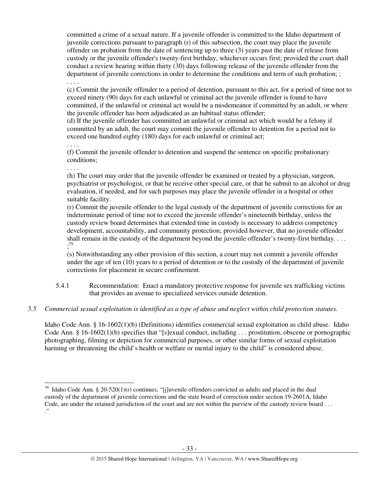committed a crime of a sexual nature. If a juvenile offender is committed to the Idaho department of juvenile corrections pursuant to paragraph (r) of this subsection, the court may place the juvenile offender on probation from the date of sentencing up to three (3) years past the date of release from custody or the juvenile offender's twenty-first birthday, whichever occurs first; provided the court shall conduct a review hearing within thirty (30) days following release of the juvenile offender from the department of juvenile corrections in order to determine the conditions and term of such probation; ; . . . .

(c) Commit the juvenile offender to a period of detention, pursuant to this act, for a period of time not to exceed ninety (90) days for each unlawful or criminal act the juvenile offender is found to have committed, if the unlawful or criminal act would be a misdemeanor if committed by an adult, or where the juvenile offender has been adjudicated as an habitual status offender;

(d) If the juvenile offender has committed an unlawful or criminal act which would be a felony if committed by an adult, the court may commit the juvenile offender to detention for a period not to exceed one hundred eighty (180) days for each unlawful or criminal act;

. . . .

(f) Commit the juvenile offender to detention and suspend the sentence on specific probationary conditions;

. . . .

 $\overline{a}$ 

(h) The court may order that the juvenile offender be examined or treated by a physician, surgeon, psychiatrist or psychologist, or that he receive other special care, or that he submit to an alcohol or drug evaluation, if needed, and for such purposes may place the juvenile offender in a hospital or other suitable facility.

(r) Commit the juvenile offender to the legal custody of the department of juvenile corrections for an indeterminate period of time not to exceed the juvenile offender's nineteenth birthday, unless the custody review board determines that extended time in custody is necessary to address competency development, accountability, and community protection; provided however, that no juvenile offender shall remain in the custody of the department beyond the juvenile offender's twenty-first birthday.... ; 79

(s) Notwithstanding any other provision of this section, a court may not commit a juvenile offender under the age of ten (10) years to a period of detention or to the custody of the department of juvenile corrections for placement in secure confinement.

5.4.1 Recommendation: Enact a mandatory protective response for juvenile sex trafficking victims that provides an avenue to specialized services outside detention.

# *5.5 Commercial sexual exploitation is identified as a type of abuse and neglect within child protection statutes.*

Idaho Code Ann. § 16-1602(1)(b) (Definitions) identifies commercial sexual exploitation as child abuse. Idaho Code Ann. § 16-1602(1)(b) specifies that "[s]exual conduct, including . . . prostitution, obscene or pornographic photographing, filming or depiction for commercial purposes, or other similar forms of sexual exploitation harming or threatening the child's health or welfare or mental injury to the child" is considered abuse.

<sup>&</sup>lt;sup>79</sup> Idaho Code Ann. § 20-520(1)(r) continues, "[j]uvenile offenders convicted as adults and placed in the dual custody of the department of juvenile corrections and the state board of correction under section 19-2601A, Idaho Code, are under the retained jurisdiction of the court and are not within the purview of the custody review board . . . ."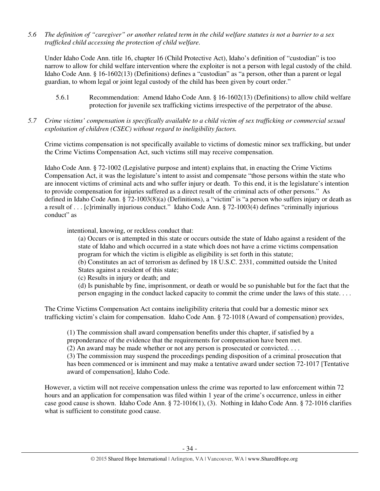*5.6 The definition of "caregiver" or another related term in the child welfare statutes is not a barrier to a sex trafficked child accessing the protection of child welfare.* 

Under Idaho Code Ann. title 16, chapter 16 (Child Protective Act), Idaho's definition of "custodian" is too narrow to allow for child welfare intervention where the exploiter is not a person with legal custody of the child. Idaho Code Ann. § 16-1602(13) (Definitions) defines a "custodian" as "a person, other than a parent or legal guardian, to whom legal or joint legal custody of the child has been given by court order."

- 5.6.1 Recommendation: Amend Idaho Code Ann. § 16-1602(13) (Definitions) to allow child welfare protection for juvenile sex trafficking victims irrespective of the perpetrator of the abuse.
- *5.7 Crime victims' compensation is specifically available to a child victim of sex trafficking or commercial sexual exploitation of children (CSEC) without regard to ineligibility factors.*

Crime victims compensation is not specifically available to victims of domestic minor sex trafficking, but under the Crime Victims Compensation Act, such victims still may receive compensation.

Idaho Code Ann. § 72-1002 (Legislative purpose and intent) explains that, in enacting the Crime Victims Compensation Act, it was the legislature's intent to assist and compensate "those persons within the state who are innocent victims of criminal acts and who suffer injury or death. To this end, it is the legislature's intention to provide compensation for injuries suffered as a direct result of the criminal acts of other persons." As defined in Idaho Code Ann. § 72-1003(8)(a) (Definitions), a "victim" is "a person who suffers injury or death as a result of . . . [c]riminally injurious conduct." Idaho Code Ann. § 72-1003(4) defines "criminally injurious conduct" as

intentional, knowing, or reckless conduct that:

(a) Occurs or is attempted in this state or occurs outside the state of Idaho against a resident of the state of Idaho and which occurred in a state which does not have a crime victims compensation program for which the victim is eligible as eligibility is set forth in this statute;

(b) Constitutes an act of terrorism as defined by 18 U.S.C. 2331, committed outside the United States against a resident of this state;

(c) Results in injury or death; and

(d) Is punishable by fine, imprisonment, or death or would be so punishable but for the fact that the person engaging in the conduct lacked capacity to commit the crime under the laws of this state. . . .

The Crime Victims Compensation Act contains ineligibility criteria that could bar a domestic minor sex trafficking victim's claim for compensation. Idaho Code Ann. § 72-1018 (Award of compensation) provides,

(1) The commission shall award compensation benefits under this chapter, if satisfied by a preponderance of the evidence that the requirements for compensation have been met.

(2) An award may be made whether or not any person is prosecuted or convicted. . . .

(3) The commission may suspend the proceedings pending disposition of a criminal prosecution that has been commenced or is imminent and may make a tentative award under section 72-1017 [Tentative award of compensation], Idaho Code.

However, a victim will not receive compensation unless the crime was reported to law enforcement within 72 hours and an application for compensation was filed within 1 year of the crime's occurrence, unless in either case good cause is shown. Idaho Code Ann. § 72-1016(1), (3). Nothing in Idaho Code Ann. § 72-1016 clarifies what is sufficient to constitute good cause.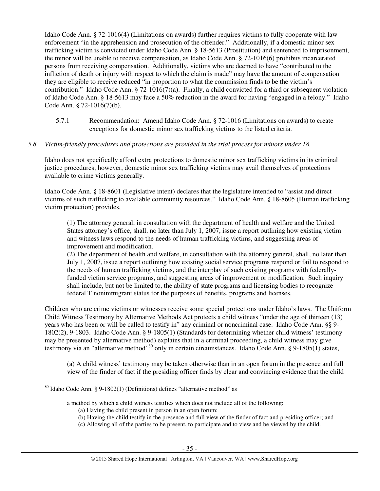Idaho Code Ann. § 72-1016(4) (Limitations on awards) further requires victims to fully cooperate with law enforcement "in the apprehension and prosecution of the offender." Additionally, if a domestic minor sex trafficking victim is convicted under Idaho Code Ann. § 18-5613 (Prostitution) and sentenced to imprisonment, the minor will be unable to receive compensation, as Idaho Code Ann. § 72-1016(6) prohibits incarcerated persons from receiving compensation. Additionally, victims who are deemed to have "contributed to the infliction of death or injury with respect to which the claim is made" may have the amount of compensation they are eligible to receive reduced "in proportion to what the commission finds to be the victim's contribution." Idaho Code Ann. § 72-1016(7)(a). Finally, a child convicted for a third or subsequent violation of Idaho Code Ann. § 18-5613 may face a 50% reduction in the award for having "engaged in a felony." Idaho Code Ann. § 72-1016(7)(b).

5.7.1 Recommendation: Amend Idaho Code Ann. § 72-1016 (Limitations on awards) to create exceptions for domestic minor sex trafficking victims to the listed criteria.

### *5.8 Victim-friendly procedures and protections are provided in the trial process for minors under 18.*

Idaho does not specifically afford extra protections to domestic minor sex trafficking victims in its criminal justice procedures; however, domestic minor sex trafficking victims may avail themselves of protections available to crime victims generally.

Idaho Code Ann. § 18-8601 (Legislative intent) declares that the legislature intended to "assist and direct victims of such trafficking to available community resources." Idaho Code Ann. § 18-8605 (Human trafficking victim protection) provides,

(1) The attorney general, in consultation with the department of health and welfare and the United States attorney's office, shall, no later than July 1, 2007, issue a report outlining how existing victim and witness laws respond to the needs of human trafficking victims, and suggesting areas of improvement and modification.

(2) The department of health and welfare, in consultation with the attorney general, shall, no later than July 1, 2007, issue a report outlining how existing social service programs respond or fail to respond to the needs of human trafficking victims, and the interplay of such existing programs with federallyfunded victim service programs, and suggesting areas of improvement or modification. Such inquiry shall include, but not be limited to, the ability of state programs and licensing bodies to recognize federal T nonimmigrant status for the purposes of benefits, programs and licenses.

Children who are crime victims or witnesses receive some special protections under Idaho's laws. The Uniform Child Witness Testimony by Alternative Methods Act protects a child witness "under the age of thirteen (13) years who has been or will be called to testify in" any criminal or noncriminal case. Idaho Code Ann. §§ 9- 1802(2), 9-1803. Idaho Code Ann. § 9-1805(1) (Standards for determining whether child witness' testimony may be presented by alternative method) explains that in a criminal proceeding, a child witness may give testimony via an "alternative method"<sup>80</sup> only in certain circumstances. Idaho Code Ann. § 9-1805(1) states,

(a) A child witness' testimony may be taken otherwise than in an open forum in the presence and full view of the finder of fact if the presiding officer finds by clear and convincing evidence that the child

 $80$  Idaho Code Ann. § 9-1802(1) (Definitions) defines "alternative method" as

a method by which a child witness testifies which does not include all of the following:

<sup>(</sup>a) Having the child present in person in an open forum;

<sup>(</sup>b) Having the child testify in the presence and full view of the finder of fact and presiding officer; and

<sup>(</sup>c) Allowing all of the parties to be present, to participate and to view and be viewed by the child.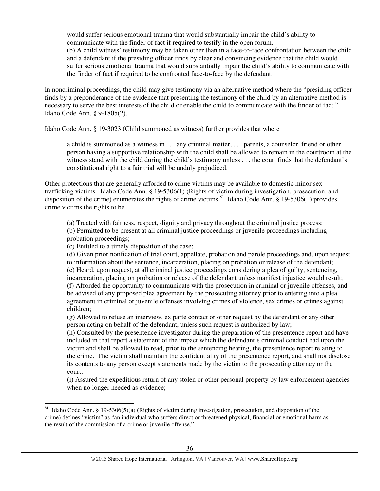would suffer serious emotional trauma that would substantially impair the child's ability to communicate with the finder of fact if required to testify in the open forum.

(b) A child witness' testimony may be taken other than in a face-to-face confrontation between the child and a defendant if the presiding officer finds by clear and convincing evidence that the child would suffer serious emotional trauma that would substantially impair the child's ability to communicate with the finder of fact if required to be confronted face-to-face by the defendant.

In noncriminal proceedings, the child may give testimony via an alternative method where the "presiding officer finds by a preponderance of the evidence that presenting the testimony of the child by an alternative method is necessary to serve the best interests of the child or enable the child to communicate with the finder of fact." Idaho Code Ann. § 9-1805(2).

Idaho Code Ann. § 19-3023 (Child summoned as witness) further provides that where

a child is summoned as a witness in . . . any criminal matter, . . . parents, a counselor, friend or other person having a supportive relationship with the child shall be allowed to remain in the courtroom at the witness stand with the child during the child's testimony unless . . . the court finds that the defendant's constitutional right to a fair trial will be unduly prejudiced.

Other protections that are generally afforded to crime victims may be available to domestic minor sex trafficking victims. Idaho Code Ann. § 19-5306(1) (Rights of victim during investigation, prosecution, and disposition of the crime) enumerates the rights of crime victims.<sup>81</sup> Idaho Code Ann. § 19-5306(1) provides crime victims the rights to be

(a) Treated with fairness, respect, dignity and privacy throughout the criminal justice process; (b) Permitted to be present at all criminal justice proceedings or juvenile proceedings including probation proceedings;

(c) Entitled to a timely disposition of the case;

 $\overline{a}$ 

(d) Given prior notification of trial court, appellate, probation and parole proceedings and, upon request, to information about the sentence, incarceration, placing on probation or release of the defendant; (e) Heard, upon request, at all criminal justice proceedings considering a plea of guilty, sentencing, incarceration, placing on probation or release of the defendant unless manifest injustice would result; (f) Afforded the opportunity to communicate with the prosecution in criminal or juvenile offenses, and be advised of any proposed plea agreement by the prosecuting attorney prior to entering into a plea agreement in criminal or juvenile offenses involving crimes of violence, sex crimes or crimes against children;

(g) Allowed to refuse an interview, ex parte contact or other request by the defendant or any other person acting on behalf of the defendant, unless such request is authorized by law;

(h) Consulted by the presentence investigator during the preparation of the presentence report and have included in that report a statement of the impact which the defendant's criminal conduct had upon the victim and shall be allowed to read, prior to the sentencing hearing, the presentence report relating to the crime. The victim shall maintain the confidentiality of the presentence report, and shall not disclose its contents to any person except statements made by the victim to the prosecuting attorney or the court;

(i) Assured the expeditious return of any stolen or other personal property by law enforcement agencies when no longer needed as evidence;

<sup>&</sup>lt;sup>81</sup> Idaho Code Ann. § 19-5306(5)(a) (Rights of victim during investigation, prosecution, and disposition of the crime) defines "victim" as "an individual who suffers direct or threatened physical, financial or emotional harm as the result of the commission of a crime or juvenile offense."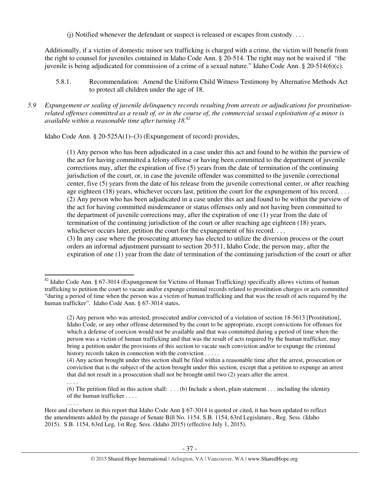(i) Notified whenever the defendant or suspect is released or escapes from custody....

Additionally, if a victim of domestic minor sex trafficking is charged with a crime, the victim will benefit from the right to counsel for juveniles contained in Idaho Code Ann. § 20-514. The right may not be waived if "the juvenile is being adjudicated for commission of a crime of a sexual nature." Idaho Code Ann. § 20-514(6)(c).

5.8.1. Recommendation: Amend the Uniform Child Witness Testimony by Alternative Methods Act to protect all children under the age of 18.

*5.9 Expungement or sealing of juvenile delinquency records resulting from arrests or adjudications for prostitutionrelated offenses committed as a result of, or in the course of, the commercial sexual exploitation of a minor is available within a reasonable time after turning 18. 82*

Idaho Code Ann. § 20-525A(1)–(3) (Expungement of record) provides,

 $\overline{a}$ 

. . . .

. . . .

(1) Any person who has been adjudicated in a case under this act and found to be within the purview of the act for having committed a felony offense or having been committed to the department of juvenile corrections may, after the expiration of five (5) years from the date of termination of the continuing jurisdiction of the court, or, in case the juvenile offender was committed to the juvenile correctional center, five (5) years from the date of his release from the juvenile correctional center, or after reaching age eighteen (18) years, whichever occurs last, petition the court for the expungement of his record. . . . (2) Any person who has been adjudicated in a case under this act and found to be within the purview of the act for having committed misdemeanor or status offenses only and not having been committed to the department of juvenile corrections may, after the expiration of one (1) year from the date of termination of the continuing jurisdiction of the court or after reaching age eighteen (18) years, whichever occurs later, petition the court for the expungement of his record. . . .

(3) In any case where the prosecuting attorney has elected to utilize the diversion process or the court orders an informal adjustment pursuant to section 20-511, Idaho Code, the person may, after the expiration of one (1) year from the date of termination of the continuing jurisdiction of the court or after

(4) Any action brought under this section shall be filed within a reasonable time after the arrest, prosecution or conviction that is the subject of the action brought under this section, except that a petition to expunge an arrest that did not result in a prosecution shall not be brought until two (2) years after the arrest.

(6) The petition filed in this action shall:  $\dots$  (b) Include a short, plain statement  $\dots$  including the identity of the human trafficker . . . .

Here and elsewhere in this report that Idaho Code Ann § 67-3014 is quoted or cited, it has been updated to reflect the amendments added by the passage of Senate Bill No. 1154. S.B. 1154, 63rd Legislature., Reg. Sess. (Idaho 2015). S.B. 1154, 63rd Leg, 1st Reg. Sess. (Idaho 2015) (effective July 1, 2015).

<sup>&</sup>lt;sup>82</sup> Idaho Code Ann. § 67-3014 (Expungement for Victims of Human Trafficking) specifically allows victims of human trafficking to petition the court to vacate and/or expunge criminal records related to prostitution charges or acts committed "during a period of time when the person was a victim of human trafficking and that was the result of acts required by the human trafficker". Idaho Code Ann. § 67-3014 states,

<sup>(2)</sup> Any person who was arrested, prosecuted and/or convicted of a violation of section 18-5613 [Prostitution], Idaho Code, or any other offense determined by the court to be appropriate, except convictions for offenses for which a defense of coercion would not be available and that was committed during a period of time when the person was a victim of human trafficking and that was the result of acts required by the human trafficker, may bring a petition under the provisions of this section to vacate such conviction and/or to expunge the criminal history records taken in connection with the conviction . . . . .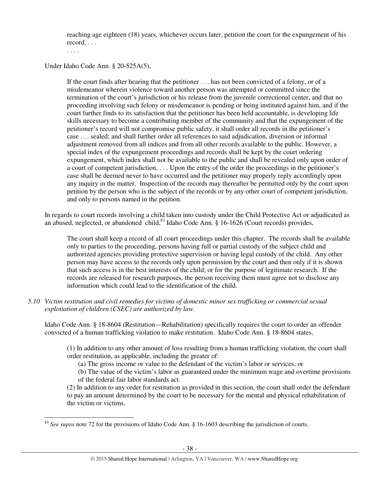reaching age eighteen (18) years, whichever occurs later, petition the court for the expungement of his record. . . .

. . . .

 $\overline{a}$ 

Under Idaho Code Ann. § 20-525A(5),

If the court finds after hearing that the petitioner . . . has not been convicted of a felony, or of a misdemeanor wherein violence toward another person was attempted or committed since the termination of the court's jurisdiction or his release from the juvenile correctional center, and that no proceeding involving such felony or misdemeanor is pending or being instituted against him, and if the court further finds to its satisfaction that the petitioner has been held accountable, is developing life skills necessary to become a contributing member of the community and that the expungement of the petitioner's record will not compromise public safety, it shall order all records in the petitioner's case . . . sealed; and shall further order all references to said adjudication, diversion or informal adjustment removed from all indices and from all other records available to the public. However, a special index of the expungement proceedings and records shall be kept by the court ordering expungement, which index shall not be available to the public and shall be revealed only upon order of a court of competent jurisdiction. . . . Upon the entry of the order the proceedings in the petitioner's case shall be deemed never to have occurred and the petitioner may properly reply accordingly upon any inquiry in the matter. Inspection of the records may thereafter be permitted only by the court upon petition by the person who is the subject of the records or by any other court of competent jurisdiction, and only to persons named in the petition.

In regards to court records involving a child taken into custody under the Child Protective Act or adjudicated as an abused, neglected, or abandoned child, $83$  Idaho Code Ann.  $\S$  16-1626 (Court records) provides,

The court shall keep a record of all court proceedings under this chapter. The records shall be available only to parties to the proceeding, persons having full or partial custody of the subject child and authorized agencies providing protective supervision or having legal custody of the child. Any other person may have access to the records only upon permission by the court and then only if it is shown that such access is in the best interests of the child; or for the purpose of legitimate research. If the records are released for research purposes, the person receiving them must agree not to disclose any information which could lead to the identification of the child.

*5.10 Victim restitution and civil remedies for victims of domestic minor sex trafficking or commercial sexual exploitation of children (CSEC) are authorized by law.* 

Idaho Code Ann. § 18-8604 (Restitution—Rehabilitation) specifically requires the court to order an offender convicted of a human trafficking violation to make restitution. Idaho Code Ann. § 18-8604 states,

(1) In addition to any other amount of loss resulting from a human trafficking violation, the court shall order restitution, as applicable, including the greater of:

(a) The gross income or value to the defendant of the victim's labor or services; or

(b) The value of the victim's labor as guaranteed under the minimum wage and overtime provisions of the federal fair labor standards act.

(2) In addition to any order for restitution as provided in this section, the court shall order the defendant to pay an amount determined by the court to be necessary for the mental and physical rehabilitation of the victim or victims.

<sup>&</sup>lt;sup>83</sup> *See supra* note 72 for the provisions of Idaho Code Ann. § 16-1603 describing the jurisdiction of courts.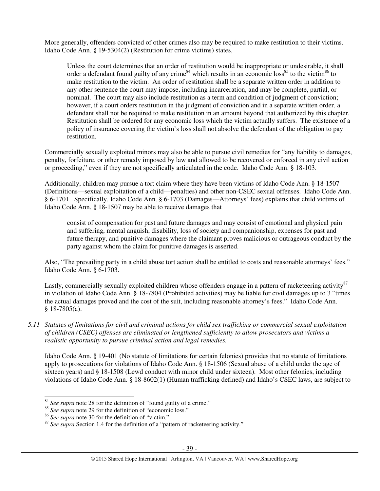More generally, offenders convicted of other crimes also may be required to make restitution to their victims. Idaho Code Ann. § 19-5304(2) (Restitution for crime victims) states,

Unless the court determines that an order of restitution would be inappropriate or undesirable, it shall order a defendant found guilty of any crime<sup>84</sup> which results in an economic loss<sup>85</sup> to the victim<sup>86</sup> to make restitution to the victim. An order of restitution shall be a separate written order in addition to any other sentence the court may impose, including incarceration, and may be complete, partial, or nominal. The court may also include restitution as a term and condition of judgment of conviction; however, if a court orders restitution in the judgment of conviction and in a separate written order, a defendant shall not be required to make restitution in an amount beyond that authorized by this chapter. Restitution shall be ordered for any economic loss which the victim actually suffers. The existence of a policy of insurance covering the victim's loss shall not absolve the defendant of the obligation to pay restitution.

Commercially sexually exploited minors may also be able to pursue civil remedies for "any liability to damages, penalty, forfeiture, or other remedy imposed by law and allowed to be recovered or enforced in any civil action or proceeding," even if they are not specifically articulated in the code. Idaho Code Ann. § 18-103.

Additionally, children may pursue a tort claim where they have been victims of Idaho Code Ann. § 18-1507 (Definitions—sexual exploitation of a child—penalties) and other non-CSEC sexual offenses. Idaho Code Ann. § 6-1701. Specifically, Idaho Code Ann. § 6-1703 (Damages—Attorneys' fees) explains that child victims of Idaho Code Ann. § 18-1507 may be able to receive damages that

consist of compensation for past and future damages and may consist of emotional and physical pain and suffering, mental anguish, disability, loss of society and companionship, expenses for past and future therapy, and punitive damages where the claimant proves malicious or outrageous conduct by the party against whom the claim for punitive damages is asserted.

Also, "The prevailing party in a child abuse tort action shall be entitled to costs and reasonable attorneys' fees." Idaho Code Ann. § 6-1703.

Lastly, commercially sexually exploited children whose offenders engage in a pattern of racketeering activity<sup>87</sup> in violation of Idaho Code Ann. § 18-7804 (Prohibited activities) may be liable for civil damages up to 3 "times the actual damages proved and the cost of the suit, including reasonable attorney's fees." Idaho Code Ann. § 18-7805(a).

*5.11 Statutes of limitations for civil and criminal actions for child sex trafficking or commercial sexual exploitation of children (CSEC) offenses are eliminated or lengthened sufficiently to allow prosecutors and victims a realistic opportunity to pursue criminal action and legal remedies.* 

Idaho Code Ann. § 19-401 (No statute of limitations for certain felonies) provides that no statute of limitations apply to prosecutions for violations of Idaho Code Ann. § 18-1506 (Sexual abuse of a child under the age of sixteen years) and § 18-1508 (Lewd conduct with minor child under sixteen). Most other felonies, including violations of Idaho Code Ann. § 18-8602(1) (Human trafficking defined) and Idaho's CSEC laws, are subject to

<sup>84</sup> *See supra* note 28 for the definition of "found guilty of a crime."

<sup>&</sup>lt;sup>85</sup> *See supra* note 29 for the definition of "economic loss."

<sup>&</sup>lt;sup>86</sup> See supra note 30 for the definition of "victim."

<sup>&</sup>lt;sup>87</sup> See supra Section 1.4 for the definition of a "pattern of racketeering activity."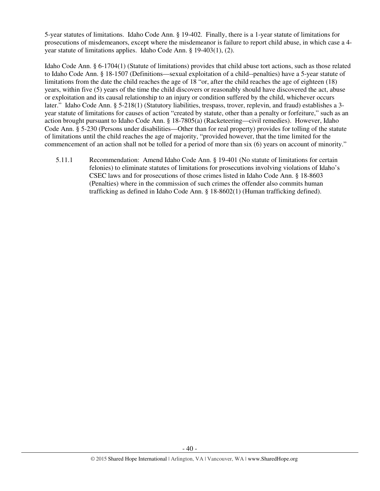5-year statutes of limitations. Idaho Code Ann. § 19-402. Finally, there is a 1-year statute of limitations for prosecutions of misdemeanors, except where the misdemeanor is failure to report child abuse, in which case a 4 year statute of limitations applies. Idaho Code Ann. § 19-403(1), (2).

Idaho Code Ann. § 6-1704(1) (Statute of limitations) provides that child abuse tort actions, such as those related to Idaho Code Ann. § 18-1507 (Definitions—sexual exploitation of a child--penalties) have a 5-year statute of limitations from the date the child reaches the age of 18 "or, after the child reaches the age of eighteen (18) years, within five (5) years of the time the child discovers or reasonably should have discovered the act, abuse or exploitation and its causal relationship to an injury or condition suffered by the child, whichever occurs later." Idaho Code Ann. § 5-218(1) (Statutory liabilities, trespass, trover, replevin, and fraud) establishes a 3 year statute of limitations for causes of action "created by statute, other than a penalty or forfeiture," such as an action brought pursuant to Idaho Code Ann. § 18-7805(a) (Racketeering—civil remedies). However, Idaho Code Ann. § 5-230 (Persons under disabilities—Other than for real property) provides for tolling of the statute of limitations until the child reaches the age of majority, "provided however, that the time limited for the commencement of an action shall not be tolled for a period of more than six (6) years on account of minority."

5.11.1 Recommendation: Amend Idaho Code Ann. § 19-401 (No statute of limitations for certain felonies) to eliminate statutes of limitations for prosecutions involving violations of Idaho's CSEC laws and for prosecutions of those crimes listed in Idaho Code Ann. § 18-8603 (Penalties) where in the commission of such crimes the offender also commits human trafficking as defined in Idaho Code Ann. § 18-8602(1) (Human trafficking defined).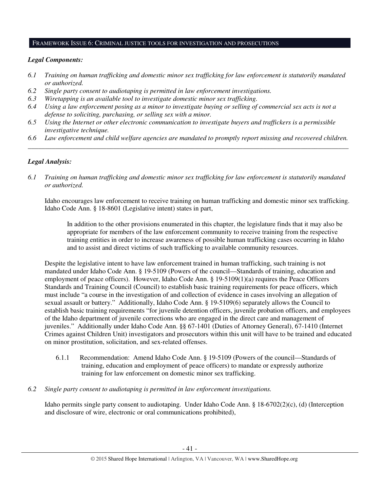### FRAMEWORK ISSUE 6: CRIMINAL JUSTICE TOOLS FOR INVESTIGATION AND PROSECUTIONS

### *Legal Components:*

- *6.1 Training on human trafficking and domestic minor sex trafficking for law enforcement is statutorily mandated or authorized.*
- *6.2 Single party consent to audiotaping is permitted in law enforcement investigations.*
- *6.3 Wiretapping is an available tool to investigate domestic minor sex trafficking.*
- *6.4 Using a law enforcement posing as a minor to investigate buying or selling of commercial sex acts is not a defense to soliciting, purchasing, or selling sex with a minor.*
- *6.5 Using the Internet or other electronic communication to investigate buyers and traffickers is a permissible investigative technique.*
- *6.6 Law enforcement and child welfare agencies are mandated to promptly report missing and recovered children. \_\_\_\_\_\_\_\_\_\_\_\_\_\_\_\_\_\_\_\_\_\_\_\_\_\_\_\_\_\_\_\_\_\_\_\_\_\_\_\_\_\_\_\_\_\_\_\_\_\_\_\_\_\_\_\_\_\_\_\_\_\_\_\_\_\_\_\_\_\_\_\_\_\_\_\_\_\_\_\_\_\_\_\_\_\_\_\_\_\_\_\_\_\_*

### *Legal Analysis:*

*6.1 Training on human trafficking and domestic minor sex trafficking for law enforcement is statutorily mandated or authorized.*

Idaho encourages law enforcement to receive training on human trafficking and domestic minor sex trafficking. Idaho Code Ann. § 18-8601 (Legislative intent) states in part,

In addition to the other provisions enumerated in this chapter, the legislature finds that it may also be appropriate for members of the law enforcement community to receive training from the respective training entities in order to increase awareness of possible human trafficking cases occurring in Idaho and to assist and direct victims of such trafficking to available community resources.

Despite the legislative intent to have law enforcement trained in human trafficking, such training is not mandated under Idaho Code Ann. § 19-5109 (Powers of the council—Standards of training, education and employment of peace officers). However, Idaho Code Ann. § 19-5109(1)(a) requires the Peace Officers Standards and Training Council (Council) to establish basic training requirements for peace officers, which must include "a course in the investigation of and collection of evidence in cases involving an allegation of sexual assault or battery." Additionally, Idaho Code Ann. § 19-5109(6) separately allows the Council to establish basic training requirements "for juvenile detention officers, juvenile probation officers, and employees of the Idaho department of juvenile corrections who are engaged in the direct care and management of juveniles." Additionally under Idaho Code Ann. §§ 67-1401 (Duties of Attorney General), 67-1410 (Internet Crimes against Children Unit) investigators and prosecutors within this unit will have to be trained and educated on minor prostitution, solicitation, and sex-related offenses.

- 6.1.1 Recommendation: Amend Idaho Code Ann. § 19-5109 (Powers of the council—Standards of training, education and employment of peace officers) to mandate or expressly authorize training for law enforcement on domestic minor sex trafficking.
- *6.2 Single party consent to audiotaping is permitted in law enforcement investigations.*

Idaho permits single party consent to audiotaping. Under Idaho Code Ann. § 18-6702(2)(c), (d) (Interception and disclosure of wire, electronic or oral communications prohibited),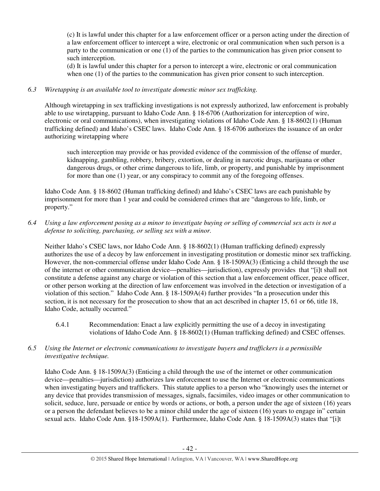(c) It is lawful under this chapter for a law enforcement officer or a person acting under the direction of a law enforcement officer to intercept a wire, electronic or oral communication when such person is a party to the communication or one (1) of the parties to the communication has given prior consent to such interception.

(d) It is lawful under this chapter for a person to intercept a wire, electronic or oral communication when one (1) of the parties to the communication has given prior consent to such interception.

# *6.3 Wiretapping is an available tool to investigate domestic minor sex trafficking.*

Although wiretapping in sex trafficking investigations is not expressly authorized, law enforcement is probably able to use wiretapping, pursuant to Idaho Code Ann. § 18-6706 (Authorization for interception of wire, electronic or oral communications), when investigating violations of Idaho Code Ann. § 18-8602(1) (Human trafficking defined) and Idaho's CSEC laws. Idaho Code Ann. § 18-6706 authorizes the issuance of an order authorizing wiretapping where

such interception may provide or has provided evidence of the commission of the offense of murder, kidnapping, gambling, robbery, bribery, extortion, or dealing in narcotic drugs, marijuana or other dangerous drugs, or other crime dangerous to life, limb, or property, and punishable by imprisonment for more than one (1) year, or any conspiracy to commit any of the foregoing offenses.

Idaho Code Ann. § 18-8602 (Human trafficking defined) and Idaho's CSEC laws are each punishable by imprisonment for more than 1 year and could be considered crimes that are "dangerous to life, limb, or property."

# *6.4 Using a law enforcement posing as a minor to investigate buying or selling of commercial sex acts is not a defense to soliciting, purchasing, or selling sex with a minor.*

Neither Idaho's CSEC laws, nor Idaho Code Ann. § 18-8602(1) (Human trafficking defined) expressly authorizes the use of a decoy by law enforcement in investigating prostitution or domestic minor sex trafficking. However, the non-commercial offense under Idaho Code Ann. § 18-1509A(3) (Enticing a child through the use of the internet or other communication device—penalties—jurisdiction), expressly provides that "[i]t shall not constitute a defense against any charge or violation of this section that a law enforcement officer, peace officer, or other person working at the direction of law enforcement was involved in the detection or investigation of a violation of this section." Idaho Code Ann. § 18-1509A(4) further provides "In a prosecution under this section, it is not necessary for the prosecution to show that an act described in chapter 15, 61 or 66, title 18, Idaho Code, actually occurred."

6.4.1 Recommendation: Enact a law explicitly permitting the use of a decoy in investigating violations of Idaho Code Ann. § 18-8602(1) (Human trafficking defined) and CSEC offenses.

# *6.5 Using the Internet or electronic communications to investigate buyers and traffickers is a permissible investigative technique.*

Idaho Code Ann. § 18-1509A(3) (Enticing a child through the use of the internet or other communication device—penalties—jurisdiction) authorizes law enforcement to use the Internet or electronic communications when investigating buyers and traffickers. This statute applies to a person who "knowingly uses the internet or any device that provides transmission of messages, signals, facsimiles, video images or other communication to solicit, seduce, lure, persuade or entice by words or actions, or both, a person under the age of sixteen (16) years or a person the defendant believes to be a minor child under the age of sixteen (16) years to engage in" certain sexual acts. Idaho Code Ann. §18-1509A(1). Furthermore, Idaho Code Ann. § 18-1509A(3) states that "[i]t